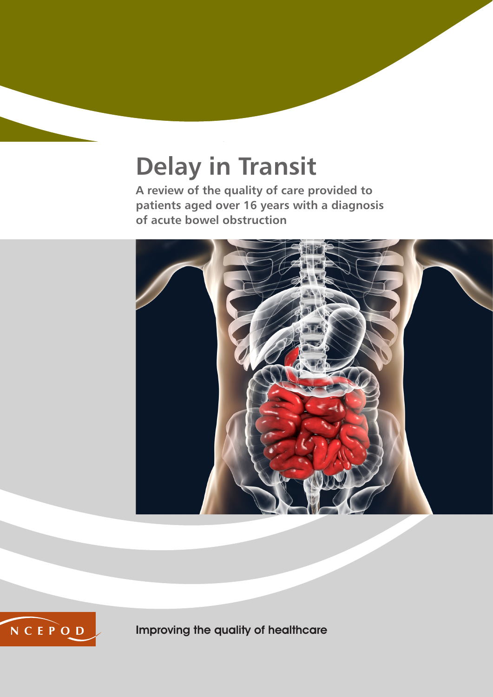# **Delay in Transit**

**A review of the quality of care provided to patients aged over 16 years with a diagnosis of acute bowel obstruction**





Improving the quality of healthcare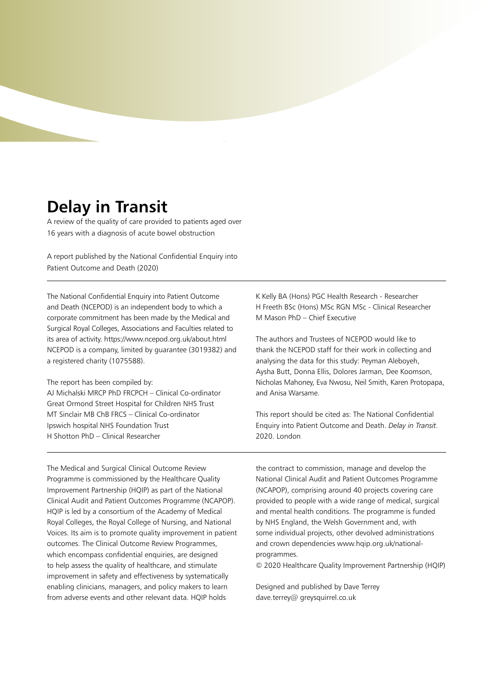# **Delay in Transit**

A review of the quality of care provided to patients aged over 16 years with a diagnosis of acute bowel obstruction

A report published by the National Confidential Enquiry into Patient Outcome and Death (2020)

The National Confidential Enquiry into Patient Outcome and Death (NCEPOD) is an independent body to which a corporate commitment has been made by the Medical and Surgical Royal Colleges, Associations and Faculties related to its area of activity. https://www.ncepod.org.uk/about.html NCEPOD is a company, limited by guarantee (3019382) and a registered charity (1075588).

The report has been compiled by: AJ Michalski MRCP PhD FRCPCH – Clinical Co-ordinator Great Ormond Street Hospital for Children NHS Trust MT Sinclair MB ChB FRCS – Clinical Co-ordinator Ipswich hospital NHS Foundation Trust H Shotton PhD – Clinical Researcher

K Kelly BA (Hons) PGC Health Research - Researcher H Freeth BSc (Hons) MSc RGN MSc - Clinical Researcher M Mason PhD – Chief Executive

The authors and Trustees of NCEPOD would like to thank the NCEPOD staff for their work in collecting and analysing the data for this study: Peyman Aleboyeh, Aysha Butt, Donna Ellis, Dolores Jarman, Dee Koomson, Nicholas Mahoney, Eva Nwosu, Neil Smith, Karen Protopapa, and Anisa Warsame.

This report should be cited as: The National Confidential Enquiry into Patient Outcome and Death. *Delay in Transit.* 2020. London

The Medical and Surgical Clinical Outcome Review Programme is commissioned by the Healthcare Quality Improvement Partnership (HQIP) as part of the National Clinical Audit and Patient Outcomes Programme (NCAPOP). HQIP is led by a consortium of the Academy of Medical Royal Colleges, the Royal College of Nursing, and National Voices. Its aim is to promote quality improvement in patient outcomes. The Clinical Outcome Review Programmes, which encompass confidential enquiries, are designed to help assess the quality of healthcare, and stimulate improvement in safety and effectiveness by systematically enabling clinicians, managers, and policy makers to learn from adverse events and other relevant data. HQIP holds

the contract to commission, manage and develop the National Clinical Audit and Patient Outcomes Programme (NCAPOP), comprising around 40 projects covering care provided to people with a wide range of medical, surgical and mental health conditions. The programme is funded by NHS England, the Welsh Government and, with some individual projects, other devolved administrations and crown dependencies www.hqip.org.uk/nationalprogrammes.

© 2020 Healthcare Quality Improvement Partnership (HQIP)

Designed and published by Dave Terrey dave.terrey@ greysquirrel.co.uk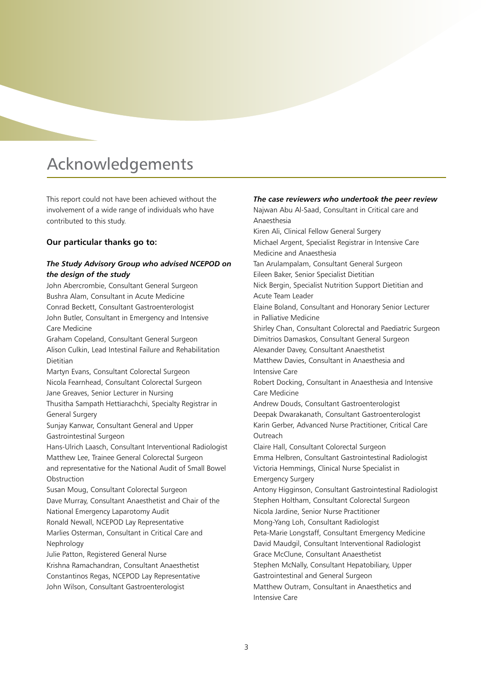# Acknowledgements

This report could not have been achieved without the involvement of a wide range of individuals who have contributed to this study.

# **Our particular thanks go to:**

# *The Study Advisory Group who advised NCEPOD on the design of the study*

John Abercrombie, Consultant General Surgeon Bushra Alam, Consultant in Acute Medicine Conrad Beckett, Consultant Gastroenterologist John Butler, Consultant in Emergency and Intensive Care Medicine Graham Copeland, Consultant General Surgeon Alison Culkin, Lead Intestinal Failure and Rehabilitation Dietitian Martyn Evans, Consultant Colorectal Surgeon Nicola Fearnhead, Consultant Colorectal Surgeon Jane Greaves, Senior Lecturer in Nursing Thusitha Sampath Hettiarachchi, Specialty Registrar in General Surgery Sunjay Kanwar, Consultant General and Upper Gastrointestinal Surgeon Hans-Ulrich Laasch, Consultant Interventional Radiologist Matthew Lee, Trainee General Colorectal Surgeon and representative for the National Audit of Small Bowel Obstruction Susan Moug, Consultant Colorectal Surgeon Dave Murray, Consultant Anaesthetist and Chair of the National Emergency Laparotomy Audit Ronald Newall, NCEPOD Lay Representative Marlies Osterman, Consultant in Critical Care and Nephrology Julie Patton, Registered General Nurse Krishna Ramachandran, Consultant Anaesthetist Constantinos Regas, NCEPOD Lay Representative John Wilson, Consultant Gastroenterologist

#### *The case reviewers who undertook the peer review*

Najwan Abu Al-Saad, Consultant in Critical care and Anaesthesia Kiren Ali, Clinical Fellow General Surgery Michael Argent, Specialist Registrar in Intensive Care Medicine and Anaesthesia Tan Arulampalam, Consultant General Surgeon Eileen Baker, Senior Specialist Dietitian Nick Bergin, Specialist Nutrition Support Dietitian and Acute Team Leader Elaine Boland, Consultant and Honorary Senior Lecturer in Palliative Medicine Shirley Chan, Consultant Colorectal and Paediatric Surgeon Dimitrios Damaskos, Consultant General Surgeon Alexander Davey, Consultant Anaesthetist Matthew Davies, Consultant in Anaesthesia and Intensive Care Robert Docking, Consultant in Anaesthesia and Intensive Care Medicine Andrew Douds, Consultant Gastroenterologist Deepak Dwarakanath, Consultant Gastroenterologist Karin Gerber, Advanced Nurse Practitioner, Critical Care Outreach Claire Hall, Consultant Colorectal Surgeon Emma Helbren, Consultant Gastrointestinal Radiologist Victoria Hemmings, Clinical Nurse Specialist in Emergency Surgery Antony Higginson, Consultant Gastrointestinal Radiologist Stephen Holtham, Consultant Colorectal Surgeon Nicola Jardine, Senior Nurse Practitioner Mong-Yang Loh, Consultant Radiologist Peta-Marie Longstaff, Consultant Emergency Medicine David Maudgil, Consultant Interventional Radiologist Grace McClune, Consultant Anaesthetist Stephen McNally, Consultant Hepatobiliary, Upper Gastrointestinal and General Surgeon Matthew Outram, Consultant in Anaesthetics and Intensive Care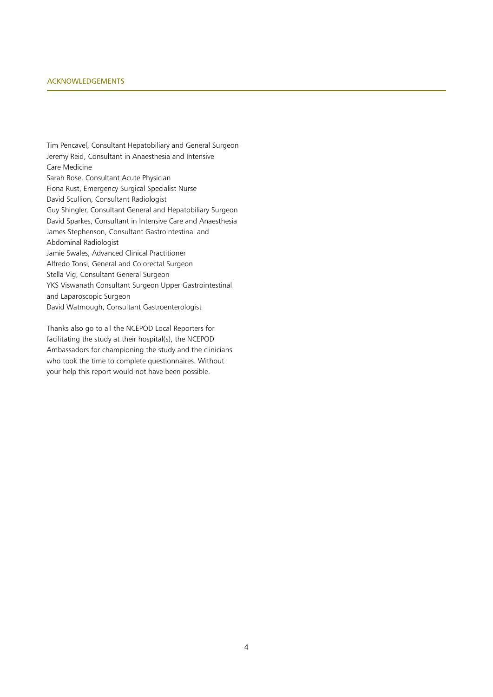#### Acknowledgements

Tim Pencavel, Consultant Hepatobiliary and General Surgeon Jeremy Reid, Consultant in Anaesthesia and Intensive Care Medicine Sarah Rose, Consultant Acute Physician Fiona Rust, Emergency Surgical Specialist Nurse David Scullion, Consultant Radiologist Guy Shingler, Consultant General and Hepatobiliary Surgeon David Sparkes, Consultant in Intensive Care and Anaesthesia James Stephenson, Consultant Gastrointestinal and Abdominal Radiologist Jamie Swales, Advanced Clinical Practitioner Alfredo Tonsi, General and Colorectal Surgeon Stella Vig, Consultant General Surgeon YKS Viswanath Consultant Surgeon Upper Gastrointestinal and Laparoscopic Surgeon David Watmough, Consultant Gastroenterologist

Thanks also go to all the NCEPOD Local Reporters for facilitating the study at their hospital(s), the NCEPOD Ambassadors for championing the study and the clinicians who took the time to complete questionnaires. Without your help this report would not have been possible.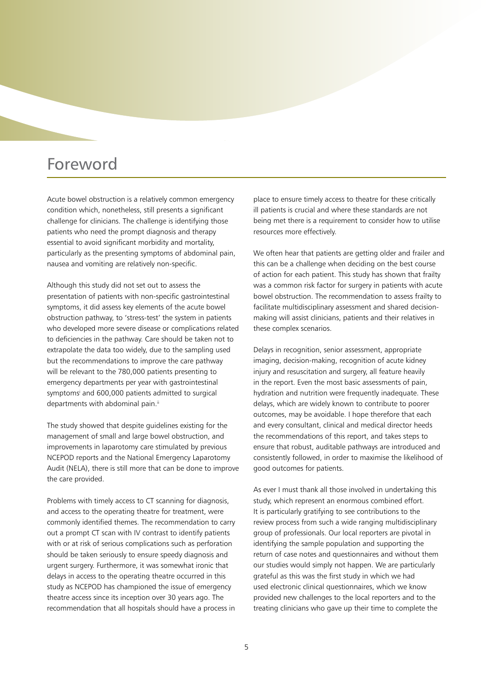# Foreword

Acute bowel obstruction is a relatively common emergency condition which, nonetheless, still presents a significant challenge for clinicians. The challenge is identifying those patients who need the prompt diagnosis and therapy essential to avoid significant morbidity and mortality, particularly as the presenting symptoms of abdominal pain, nausea and vomiting are relatively non-specific.

Although this study did not set out to assess the presentation of patients with non-specific gastrointestinal symptoms, it did assess key elements of the acute bowel obstruction pathway, to 'stress-test' the system in patients who developed more severe disease or complications related to deficiencies in the pathway. Care should be taken not to extrapolate the data too widely, due to the sampling used but the recommendations to improve the care pathway will be relevant to the 780,000 patients presenting to emergency departments per year with gastrointestinal symptomsi and 600,000 patients admitted to surgical departments with abdominal pain.<sup>ii</sup>

The study showed that despite guidelines existing for the management of small and large bowel obstruction, and improvements in laparotomy care stimulated by previous NCEPOD reports and the National Emergency Laparotomy Audit (NELA), there is still more that can be done to improve the care provided.

Problems with timely access to CT scanning for diagnosis, and access to the operating theatre for treatment, were commonly identified themes. The recommendation to carry out a prompt CT scan with IV contrast to identify patients with or at risk of serious complications such as perforation should be taken seriously to ensure speedy diagnosis and urgent surgery. Furthermore, it was somewhat ironic that delays in access to the operating theatre occurred in this study as NCEPOD has championed the issue of emergency theatre access since its inception over 30 years ago. The recommendation that all hospitals should have a process in place to ensure timely access to theatre for these critically ill patients is crucial and where these standards are not being met there is a requirement to consider how to utilise resources more effectively.

We often hear that patients are getting older and frailer and this can be a challenge when deciding on the best course of action for each patient. This study has shown that frailty was a common risk factor for surgery in patients with acute bowel obstruction. The recommendation to assess frailty to facilitate multidisciplinary assessment and shared decisionmaking will assist clinicians, patients and their relatives in these complex scenarios.

Delays in recognition, senior assessment, appropriate imaging, decision-making, recognition of acute kidney injury and resuscitation and surgery, all feature heavily in the report. Even the most basic assessments of pain, hydration and nutrition were frequently inadequate. These delays, which are widely known to contribute to poorer outcomes, may be avoidable. I hope therefore that each and every consultant, clinical and medical director heeds the recommendations of this report, and takes steps to ensure that robust, auditable pathways are introduced and consistently followed, in order to maximise the likelihood of good outcomes for patients.

As ever I must thank all those involved in undertaking this study, which represent an enormous combined effort. It is particularly gratifying to see contributions to the review process from such a wide ranging multidisciplinary group of professionals. Our local reporters are pivotal in identifying the sample population and supporting the return of case notes and questionnaires and without them our studies would simply not happen. We are particularly grateful as this was the first study in which we had used electronic clinical questionnaires, which we know provided new challenges to the local reporters and to the treating clinicians who gave up their time to complete the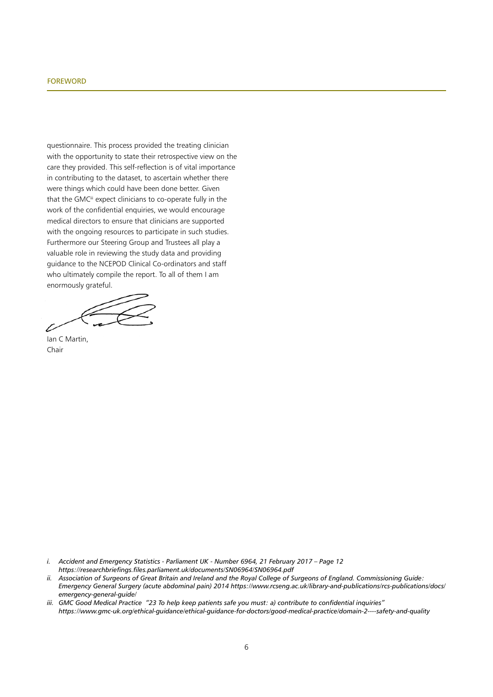#### **FOREWORD**

questionnaire. This process provided the treating clinician with the opportunity to state their retrospective view on the care they provided. This self-reflection is of vital importance in contributing to the dataset, to ascertain whether there were things which could have been done better. Given that the GMC<sup>iii</sup> expect clinicians to co-operate fully in the work of the confidential enquiries, we would encourage medical directors to ensure that clinicians are supported with the ongoing resources to participate in such studies. Furthermore our Steering Group and Trustees all play a valuable role in reviewing the study data and providing guidance to the NCEPOD Clinical Co-ordinators and staff who ultimately compile the report. To all of them I am enormously grateful.

Ian C Martin, Chair

- *i. Accident and Emergency Statistics Parliament UK Number 6964, 21 February 2017 Page 12 https://researchbriefings.files.parliament.uk/documents/SN06964/SN06964.pdf*
- *ii. Association of Surgeons of Great Britain and Ireland and the Royal College of Surgeons of England. Commissioning Guide: Emergency General Surgery (acute abdominal pain) 2014 https://www.rcseng.ac.uk/library-and-publications/rcs-publications/docs/ emergency-general-guide/*
- *iii. GMC Good Medical Practice "23 To help keep patients safe you must: a) contribute to confidential inquiries" https://www.gmc-uk.org/ethical-guidance/ethical-guidance-for-doctors/good-medical-practice/domain-2----safety-and-quality*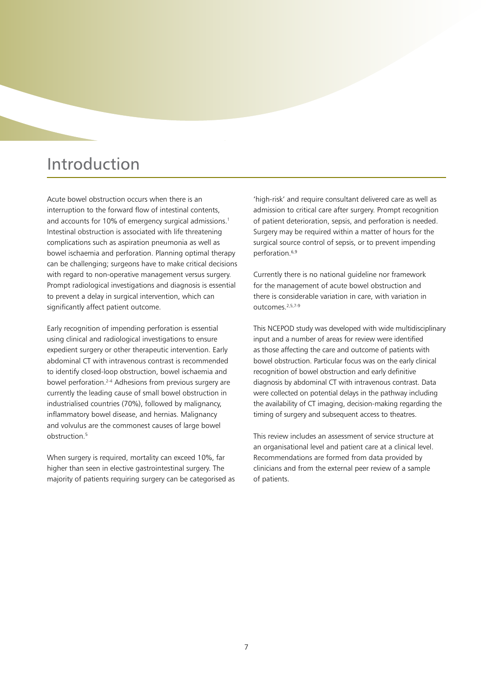# Introduction

Acute bowel obstruction occurs when there is an interruption to the forward flow of intestinal contents, and accounts for 10% of emergency surgical admissions.<sup>1</sup> Intestinal obstruction is associated with life threatening complications such as aspiration pneumonia as well as bowel ischaemia and perforation. Planning optimal therapy can be challenging; surgeons have to make critical decisions with regard to non-operative management versus surgery. Prompt radiological investigations and diagnosis is essential to prevent a delay in surgical intervention, which can significantly affect patient outcome.

Early recognition of impending perforation is essential using clinical and radiological investigations to ensure expedient surgery or other therapeutic intervention. Early abdominal CT with intravenous contrast is recommended to identify closed-loop obstruction, bowel ischaemia and bowel perforation.2-4 Adhesions from previous surgery are currently the leading cause of small bowel obstruction in industrialised countries (70%), followed by malignancy, inflammatory bowel disease, and hernias. Malignancy and volvulus are the commonest causes of large bowel obstruction.<sup>5</sup>

When surgery is required, mortality can exceed 10%, far higher than seen in elective gastrointestinal surgery. The majority of patients requiring surgery can be categorised as

'high-risk' and require consultant delivered care as well as admission to critical care after surgery. Prompt recognition of patient deterioration, sepsis, and perforation is needed. Surgery may be required within a matter of hours for the surgical source control of sepsis, or to prevent impending perforation.6,9

Currently there is no national guideline nor framework for the management of acute bowel obstruction and there is considerable variation in care, with variation in outcomes.2,5,7-9

This NCEPOD study was developed with wide multidisciplinary input and a number of areas for review were identified as those affecting the care and outcome of patients with bowel obstruction. Particular focus was on the early clinical recognition of bowel obstruction and early definitive diagnosis by abdominal CT with intravenous contrast. Data were collected on potential delays in the pathway including the availability of CT imaging, decision-making regarding the timing of surgery and subsequent access to theatres.

This review includes an assessment of service structure at an organisational level and patient care at a clinical level. Recommendations are formed from data provided by clinicians and from the external peer review of a sample of patients.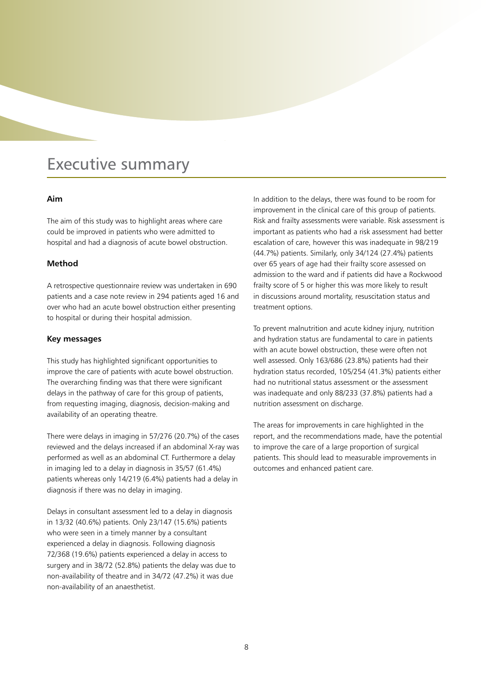# Executive summary

# **Aim**

The aim of this study was to highlight areas where care could be improved in patients who were admitted to hospital and had a diagnosis of acute bowel obstruction.

### **Method**

A retrospective questionnaire review was undertaken in 690 patients and a case note review in 294 patients aged 16 and over who had an acute bowel obstruction either presenting to hospital or during their hospital admission.

# **Key messages**

This study has highlighted significant opportunities to improve the care of patients with acute bowel obstruction. The overarching finding was that there were significant delays in the pathway of care for this group of patients, from requesting imaging, diagnosis, decision-making and availability of an operating theatre.

There were delays in imaging in 57/276 (20.7%) of the cases reviewed and the delays increased if an abdominal X-ray was performed as well as an abdominal CT. Furthermore a delay in imaging led to a delay in diagnosis in 35/57 (61.4%) patients whereas only 14/219 (6.4%) patients had a delay in diagnosis if there was no delay in imaging.

Delays in consultant assessment led to a delay in diagnosis in 13/32 (40.6%) patients. Only 23/147 (15.6%) patients who were seen in a timely manner by a consultant experienced a delay in diagnosis. Following diagnosis 72/368 (19.6%) patients experienced a delay in access to surgery and in 38/72 (52.8%) patients the delay was due to non-availability of theatre and in 34/72 (47.2%) it was due non-availability of an anaesthetist.

In addition to the delays, there was found to be room for improvement in the clinical care of this group of patients. Risk and frailty assessments were variable. Risk assessment is important as patients who had a risk assessment had better escalation of care, however this was inadequate in 98/219 (44.7%) patients. Similarly, only 34/124 (27.4%) patients over 65 years of age had their frailty score assessed on admission to the ward and if patients did have a Rockwood frailty score of 5 or higher this was more likely to result in discussions around mortality, resuscitation status and treatment options.

To prevent malnutrition and acute kidney injury, nutrition and hydration status are fundamental to care in patients with an acute bowel obstruction, these were often not well assessed. Only 163/686 (23.8%) patients had their hydration status recorded, 105/254 (41.3%) patients either had no nutritional status assessment or the assessment was inadequate and only 88/233 (37.8%) patients had a nutrition assessment on discharge.

The areas for improvements in care highlighted in the report, and the recommendations made, have the potential to improve the care of a large proportion of surgical patients. This should lead to measurable improvements in outcomes and enhanced patient care.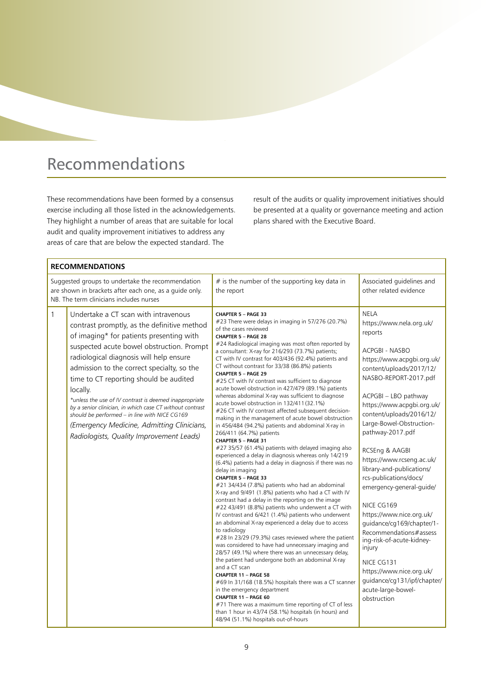# Recommendations

These recommendations have been formed by a consensus exercise including all those listed in the acknowledgements. They highlight a number of areas that are suitable for local audit and quality improvement initiatives to address any areas of care that are below the expected standard. The

result of the audits or quality improvement initiatives should be presented at a quality or governance meeting and action plans shared with the Executive Board.

|                                                                                                                                                       | <b>RECOMMENDATIONS</b>                                                                                                                                                                                                                                                                                                                                                                                                                                                                                                                                                                                       |                                                               |                                                                                                                                                                                                                                                                                                                                                                                                                                                                                                                                                                                                                                                                                                                                                                                                                                                                                                                                                                                                                                                                                                                                                                                                                                                                                                                                                                                                                                                                                                                                                                                                                                                                                                                                                                                                                                                                                                                                                                  |                                                                                                                                                                                                                                                                                                                                                                                                                                                                                                                                                                                                                                                                                   |  |  |
|-------------------------------------------------------------------------------------------------------------------------------------------------------|--------------------------------------------------------------------------------------------------------------------------------------------------------------------------------------------------------------------------------------------------------------------------------------------------------------------------------------------------------------------------------------------------------------------------------------------------------------------------------------------------------------------------------------------------------------------------------------------------------------|---------------------------------------------------------------|------------------------------------------------------------------------------------------------------------------------------------------------------------------------------------------------------------------------------------------------------------------------------------------------------------------------------------------------------------------------------------------------------------------------------------------------------------------------------------------------------------------------------------------------------------------------------------------------------------------------------------------------------------------------------------------------------------------------------------------------------------------------------------------------------------------------------------------------------------------------------------------------------------------------------------------------------------------------------------------------------------------------------------------------------------------------------------------------------------------------------------------------------------------------------------------------------------------------------------------------------------------------------------------------------------------------------------------------------------------------------------------------------------------------------------------------------------------------------------------------------------------------------------------------------------------------------------------------------------------------------------------------------------------------------------------------------------------------------------------------------------------------------------------------------------------------------------------------------------------------------------------------------------------------------------------------------------------|-----------------------------------------------------------------------------------------------------------------------------------------------------------------------------------------------------------------------------------------------------------------------------------------------------------------------------------------------------------------------------------------------------------------------------------------------------------------------------------------------------------------------------------------------------------------------------------------------------------------------------------------------------------------------------------|--|--|
| Suggested groups to undertake the recommendation<br>are shown in brackets after each one, as a guide only.<br>NB. The term clinicians includes nurses |                                                                                                                                                                                                                                                                                                                                                                                                                                                                                                                                                                                                              | $#$ is the number of the supporting key data in<br>the report | Associated guidelines and<br>other related evidence                                                                                                                                                                                                                                                                                                                                                                                                                                                                                                                                                                                                                                                                                                                                                                                                                                                                                                                                                                                                                                                                                                                                                                                                                                                                                                                                                                                                                                                                                                                                                                                                                                                                                                                                                                                                                                                                                                              |                                                                                                                                                                                                                                                                                                                                                                                                                                                                                                                                                                                                                                                                                   |  |  |
|                                                                                                                                                       | $\mathbf{1}$<br>Undertake a CT scan with intravenous<br>contrast promptly, as the definitive method<br>of imaging* for patients presenting with<br>suspected acute bowel obstruction. Prompt<br>radiological diagnosis will help ensure<br>admission to the correct specialty, so the<br>time to CT reporting should be audited<br>locally.<br>*unless the use of IV contrast is deemed inappropriate<br>by a senior clinician, in which case CT without contrast<br>should be performed - in line with NICE CG169<br>(Emergency Medicine, Admitting Clinicians,<br>Radiologists, Quality Improvement Leads) |                                                               | CHAPTER 5 - PAGE 33<br>#23 There were delays in imaging in 57/276 (20.7%)<br>of the cases reviewed<br><b>CHAPTER 5 - PAGE 28</b><br>#24 Radiological imaging was most often reported by<br>a consultant: X-ray for 216/293 (73.7%) patients;<br>CT with IV contrast for 403/436 (92.4%) patients and<br>CT without contrast for 33/38 (86.8%) patients<br><b>CHAPTER 5 - PAGE 29</b><br>#25 CT with IV contrast was sufficient to diagnose<br>acute bowel obstruction in 427/479 (89.1%) patients<br>whereas abdominal X-ray was sufficient to diagnose<br>acute bowel obstruction in 132/411 (32.1%)<br>#26 CT with IV contrast affected subsequent decision-<br>making in the management of acute bowel obstruction<br>in 456/484 (94.2%) patients and abdominal X-ray in<br>266/411 (64.7%) patients<br>CHAPTER 5 - PAGE 31<br>#27 35/57 (61.4%) patients with delayed imaging also<br>experienced a delay in diagnosis whereas only 14/219<br>(6.4%) patients had a delay in diagnosis if there was no<br>delay in imaging<br><b>CHAPTER 5 - PAGE 33</b><br>#21 34/434 (7.8%) patients who had an abdominal<br>X-ray and 9/491 (1.8%) patients who had a CT with IV<br>contrast had a delay in the reporting on the image<br>#22 43/491 (8.8%) patients who underwent a CT with<br>IV contrast and 6/421 (1.4%) patients who underwent<br>an abdominal X-ray experienced a delay due to access<br>to radiology<br>#28 In 23/29 (79.3%) cases reviewed where the patient<br>was considered to have had unnecessary imaging and<br>28/57 (49.1%) where there was an unnecessary delay,<br>the patient had undergone both an abdominal X-ray<br>and a CT scan<br>CHAPTER 11 - PAGE 58<br>#69 In 31/168 (18.5%) hospitals there was a CT scanner<br>in the emergency department<br>CHAPTER 11 - PAGE 60<br>#71 There was a maximum time reporting of CT of less<br>than 1 hour in 43/74 (58.1%) hospitals (in hours) and<br>48/94 (51.1%) hospitals out-of-hours | <b>NELA</b><br>https://www.nela.org.uk/<br>reports<br>ACPGBI - NASBO<br>https://www.acpgbi.org.uk/<br>content/uploads/2017/12/<br>NASBO-REPORT-2017.pdf<br>ACPGBI - LBO pathway<br>https://www.acpgbi.org.uk/<br>content/uploads/2016/12/<br>Large-Bowel-Obstruction-<br>pathway-2017.pdf<br>RCSEng & AAGBI<br>https://www.rcseng.ac.uk/<br>library-and-publications/<br>rcs-publications/docs/<br>emergency-general-guide/<br>NICE CG169<br>https://www.nice.org.uk/<br>quidance/cq169/chapter/1-<br>Recommendations#assess<br>ing-risk-of-acute-kidney-<br>injury<br>NICE CG131<br>https://www.nice.org.uk/<br>guidance/cg131/ipf/chapter/<br>acute-large-bowel-<br>obstruction |  |  |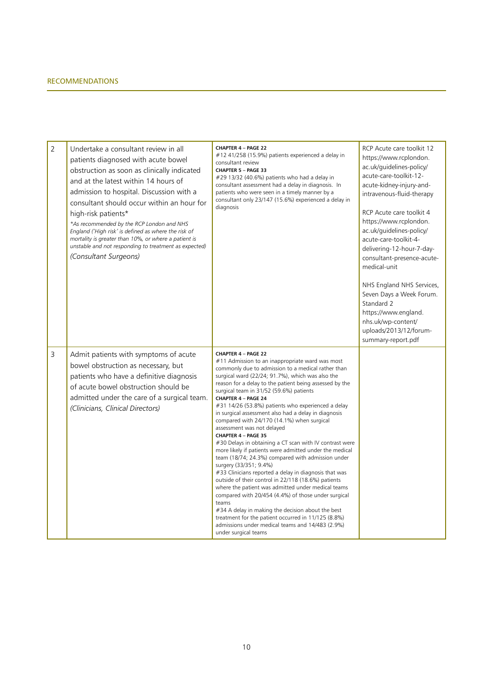| $\overline{2}$ | Undertake a consultant review in all<br>patients diagnosed with acute bowel<br>obstruction as soon as clinically indicated<br>and at the latest within 14 hours of<br>admission to hospital. Discussion with a<br>consultant should occur within an hour for<br>high-risk patients*<br>*As recommended by the RCP London and NHS<br>England ('High risk' is defined as where the risk of<br>mortality is greater than 10%, or where a patient is<br>unstable and not responding to treatment as expected)<br>(Consultant Surgeons) | <b>CHAPTER 4 - PAGE 22</b><br>$#12$ 41/258 (15.9%) patients experienced a delay in<br>consultant review<br><b>CHAPTER 5 - PAGE 33</b><br>#29 13/32 (40.6%) patients who had a delay in<br>consultant assessment had a delay in diagnosis. In<br>patients who were seen in a timely manner by a<br>consultant only 23/147 (15.6%) experienced a delay in<br>diagnosis                                                                                                                                                                                                                                                                                                                                                                                                                                                                                                                                                                                                                                                                                                                                                                                                     | RCP Acute care toolkit 12<br>https://www.rcplondon.<br>ac.uk/guidelines-policy/<br>acute-care-toolkit-12-<br>acute-kidney-injury-and-<br>intravenous-fluid-therapy<br>RCP Acute care toolkit 4<br>https://www.rcplondon.<br>ac.uk/guidelines-policy/<br>acute-care-toolkit-4-<br>delivering-12-hour-7-day-<br>consultant-presence-acute-<br>medical-unit<br>NHS England NHS Services,<br>Seven Days a Week Forum.<br>Standard 2<br>https://www.england.<br>nhs.uk/wp-content/<br>uploads/2013/12/forum-<br>summary-report.pdf |
|----------------|------------------------------------------------------------------------------------------------------------------------------------------------------------------------------------------------------------------------------------------------------------------------------------------------------------------------------------------------------------------------------------------------------------------------------------------------------------------------------------------------------------------------------------|--------------------------------------------------------------------------------------------------------------------------------------------------------------------------------------------------------------------------------------------------------------------------------------------------------------------------------------------------------------------------------------------------------------------------------------------------------------------------------------------------------------------------------------------------------------------------------------------------------------------------------------------------------------------------------------------------------------------------------------------------------------------------------------------------------------------------------------------------------------------------------------------------------------------------------------------------------------------------------------------------------------------------------------------------------------------------------------------------------------------------------------------------------------------------|-------------------------------------------------------------------------------------------------------------------------------------------------------------------------------------------------------------------------------------------------------------------------------------------------------------------------------------------------------------------------------------------------------------------------------------------------------------------------------------------------------------------------------|
| 3              | Admit patients with symptoms of acute<br>bowel obstruction as necessary, but<br>patients who have a definitive diagnosis<br>of acute bowel obstruction should be<br>admitted under the care of a surgical team.<br>(Clinicians, Clinical Directors)                                                                                                                                                                                                                                                                                | <b>CHAPTER 4 - PAGE 22</b><br>#11 Admission to an inappropriate ward was most<br>commonly due to admission to a medical rather than<br>surgical ward (22/24; 91.7%), which was also the<br>reason for a delay to the patient being assessed by the<br>surgical team in 31/52 (59.6%) patients<br>CHAPTER 4 - PAGE 24<br>#31 14/26 (53.8%) patients who experienced a delay<br>in surgical assessment also had a delay in diagnosis<br>compared with 24/170 (14.1%) when surgical<br>assessment was not delayed<br>CHAPTER 4 - PAGE 35<br>#30 Delays in obtaining a CT scan with IV contrast were<br>more likely if patients were admitted under the medical<br>team (18/74; 24.3%) compared with admission under<br>surgery (33/351; 9.4%)<br>#33 Clinicians reported a delay in diagnosis that was<br>outside of their control in 22/118 (18.6%) patients<br>where the patient was admitted under medical teams<br>compared with 20/454 (4.4%) of those under surgical<br>teams<br>#34 A delay in making the decision about the best<br>treatment for the patient occurred in 11/125 (8.8%)<br>admissions under medical teams and 14/483 (2.9%)<br>under surgical teams |                                                                                                                                                                                                                                                                                                                                                                                                                                                                                                                               |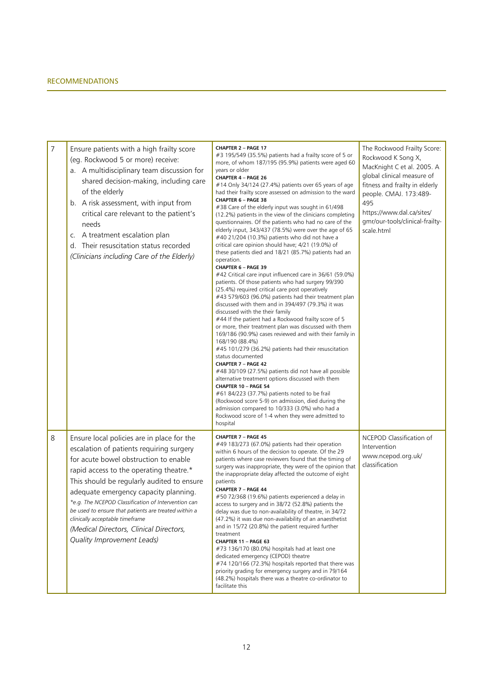| 7 | Ensure patients with a high frailty score<br>(eg. Rockwood 5 or more) receive:<br>a. A multidisciplinary team discussion for<br>shared decision-making, including care<br>of the elderly<br>b. A risk assessment, with input from<br>critical care relevant to the patient's<br>needs<br>c. A treatment escalation plan<br>d. Their resuscitation status recorded<br>(Clinicians including Care of the Elderly)                                                                              | CHAPTER 2 - PAGE 17<br>#3 195/549 (35.5%) patients had a frailty score of 5 or<br>more, of whom 187/195 (95.9%) patients were aged 60<br>years or older<br>CHAPTER 4 - PAGE 26<br>#14 Only 34/124 (27.4%) patients over 65 years of age<br>had their frailty score assessed on admission to the ward<br>CHAPTER 6 - PAGE 38<br>#38 Care of the elderly input was sought in 61/498<br>(12.2%) patients in the view of the clinicians completing<br>questionnaires. Of the patients who had no care of the<br>elderly input, 343/437 (78.5%) were over the age of 65<br>#40 21/204 (10.3%) patients who did not have a<br>critical care opinion should have; 4/21 (19.0%) of<br>these patients died and 18/21 (85.7%) patients had an<br>operation.<br>CHAPTER 6 - PAGE 39<br>#42 Critical care input influenced care in 36/61 (59.0%)<br>patients. Of those patients who had surgery 99/390<br>(25.4%) required critical care post operatively<br>#43 579/603 (96.0%) patients had their treatment plan<br>discussed with them and in 394/497 (79.3%) it was<br>discussed with the their family<br>#44 If the patient had a Rockwood frailty score of 5<br>or more, their treatment plan was discussed with them<br>169/186 (90.9%) cases reviewed and with their family in<br>168/190 (88.4%)<br>#45 101/279 (36.2%) patients had their resuscitation<br>status documented<br><b>CHAPTER 7 - PAGE 42</b><br>#48 30/109 (27.5%) patients did not have all possible<br>alternative treatment options discussed with them<br>CHAPTER 10 - PAGE 54<br>#61 84/223 (37.7%) patients noted to be frail<br>(Rockwood score 5-9) on admission, died during the<br>admission compared to 10/333 (3.0%) who had a<br>Rockwood score of 1-4 when they were admitted to<br>hospital | The Rockwood Frailty Score:<br>Rockwood K Song X,<br>MacKnight C et al. 2005. A<br>global clinical measure of<br>fitness and frailty in elderly<br>people. CMAJ. 173:489-<br>495<br>https://www.dal.ca/sites/<br>gmr/our-tools/clinical-frailty-<br>scale.html |
|---|----------------------------------------------------------------------------------------------------------------------------------------------------------------------------------------------------------------------------------------------------------------------------------------------------------------------------------------------------------------------------------------------------------------------------------------------------------------------------------------------|------------------------------------------------------------------------------------------------------------------------------------------------------------------------------------------------------------------------------------------------------------------------------------------------------------------------------------------------------------------------------------------------------------------------------------------------------------------------------------------------------------------------------------------------------------------------------------------------------------------------------------------------------------------------------------------------------------------------------------------------------------------------------------------------------------------------------------------------------------------------------------------------------------------------------------------------------------------------------------------------------------------------------------------------------------------------------------------------------------------------------------------------------------------------------------------------------------------------------------------------------------------------------------------------------------------------------------------------------------------------------------------------------------------------------------------------------------------------------------------------------------------------------------------------------------------------------------------------------------------------------------------------------------------------------------------------------------------------------------------------------------------------|----------------------------------------------------------------------------------------------------------------------------------------------------------------------------------------------------------------------------------------------------------------|
| 8 | Ensure local policies are in place for the<br>escalation of patients requiring surgery<br>for acute bowel obstruction to enable<br>rapid access to the operating theatre.*<br>This should be regularly audited to ensure<br>adequate emergency capacity planning.<br>*e.g. The NCEPOD Classification of Intervention can<br>be used to ensure that patients are treated within a<br>clinically acceptable timeframe<br>(Medical Directors, Clinical Directors,<br>Quality Improvement Leads) | CHAPTER 7 - PAGE 45<br>#49 183/273 (67.0%) patients had their operation<br>within 6 hours of the decision to operate. Of the 29<br>patients where case reviewers found that the timing of<br>surgery was inappropriate, they were of the opinion that<br>the inappropriate delay affected the outcome of eight<br>patients<br>CHAPTER 7 - PAGE 44<br>#50 72/368 (19.6%) patients experienced a delay in<br>access to surgery and in 38/72 (52.8%) patients the<br>delay was due to non-availability of theatre, in 34/72<br>(47.2%) it was due non-availability of an anaesthetist<br>and in 15/72 (20.8%) the patient required further<br>treatment<br>CHAPTER 11 - PAGE 63<br>#73 136/170 (80.0%) hospitals had at least one<br>dedicated emergency (CEPOD) theatre<br>#74 120/166 (72.3%) hospitals reported that there was<br>priority grading for emergency surgery and in 79/164<br>(48.2%) hospitals there was a theatre co-ordinator to<br>facilitate this                                                                                                                                                                                                                                                                                                                                                                                                                                                                                                                                                                                                                                                                                                                                                                                                     | NCEPOD Classification of<br>Intervention<br>www.ncepod.org.uk/<br>classification                                                                                                                                                                               |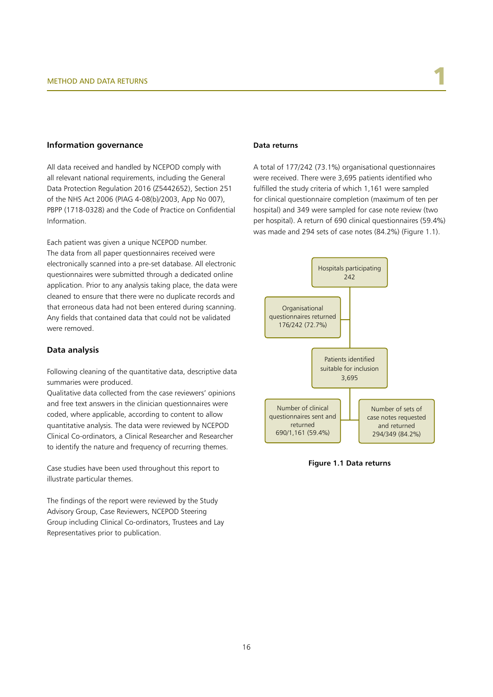#### **Information governance**

All data received and handled by NCEPOD comply with all relevant national requirements, including the General Data Protection Regulation 2016 (Z5442652), Section 251 of the NHS Act 2006 (PIAG 4-08(b)/2003, App No 007), PBPP (1718-0328) and the Code of Practice on Confidential Information.

Each patient was given a unique NCEPOD number. The data from all paper questionnaires received were electronically scanned into a pre-set database. All electronic questionnaires were submitted through a dedicated online application. Prior to any analysis taking place, the data were cleaned to ensure that there were no duplicate records and that erroneous data had not been entered during scanning. Any fields that contained data that could not be validated were removed.

# **Data analysis**

Following cleaning of the quantitative data, descriptive data summaries were produced.

Qualitative data collected from the case reviewers' opinions and free text answers in the clinician questionnaires were coded, where applicable, according to content to allow quantitative analysis. The data were reviewed by NCEPOD Clinical Co-ordinators, a Clinical Researcher and Researcher to identify the nature and frequency of recurring themes.

Case studies have been used throughout this report to illustrate particular themes.

The findings of the report were reviewed by the Study Advisory Group, Case Reviewers, NCEPOD Steering Group including Clinical Co-ordinators, Trustees and Lay Representatives prior to publication.

#### **Data returns**

A total of 177/242 (73.1%) organisational questionnaires were received. There were 3,695 patients identified who fulfilled the study criteria of which 1,161 were sampled for clinical questionnaire completion (maximum of ten per hospital) and 349 were sampled for case note review (two per hospital). A return of 690 clinical questionnaires (59.4%) was made and 294 sets of case notes (84.2%) (Figure 1.1).



**Figure 1.1 Data returns**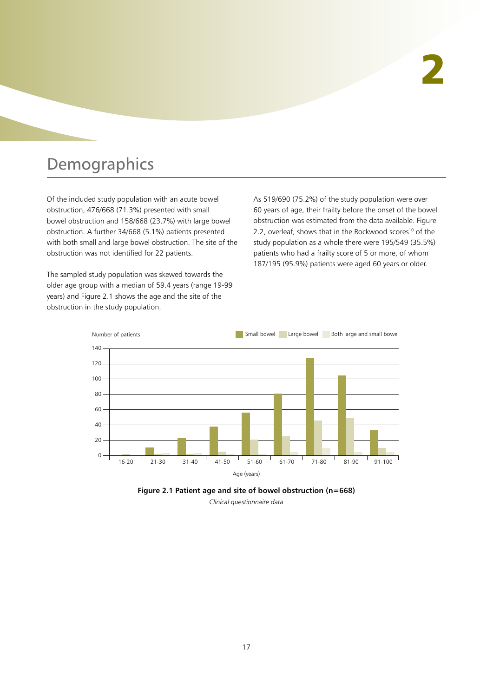# Demographics

Of the included study population with an acute bowel obstruction, 476/668 (71.3%) presented with small bowel obstruction and 158/668 (23.7%) with large bowel obstruction. A further 34/668 (5.1%) patients presented with both small and large bowel obstruction. The site of the obstruction was not identified for 22 patients.

The sampled study population was skewed towards the older age group with a median of 59.4 years (range 19-99 years) and Figure 2.1 shows the age and the site of the obstruction in the study population.

As 519/690 (75.2%) of the study population were over 60 years of age, their frailty before the onset of the bowel obstruction was estimated from the data available. Figure 2.2, overleaf, shows that in the Rockwood scores<sup>10</sup> of the study population as a whole there were 195/549 (35.5%) patients who had a frailty score of 5 or more, of whom 187/195 (95.9%) patients were aged 60 years or older.



**Figure 2.1 Patient age and site of bowel obstruction (n=668)** *Clinical questionnaire data*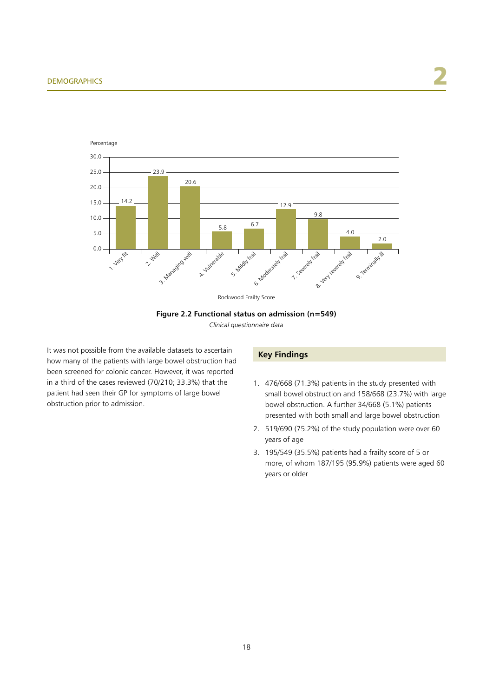

Rockwood Frailty Score

#### **Figure 2.2 Functional status on admission (n=549)**

*Clinical questionnaire data*

It was not possible from the available datasets to ascertain how many of the patients with large bowel obstruction had been screened for colonic cancer. However, it was reported in a third of the cases reviewed (70/210; 33.3%) that the patient had seen their GP for symptoms of large bowel obstruction prior to admission.

# **Key Findings**

- 1. 476/668 (71.3%) patients in the study presented with small bowel obstruction and 158/668 (23.7%) with large bowel obstruction. A further 34/668 (5.1%) patients presented with both small and large bowel obstruction
- 2. 519/690 (75.2%) of the study population were over 60 years of age
- 3. 195/549 (35.5%) patients had a frailty score of 5 or more, of whom 187/195 (95.9%) patients were aged 60 years or older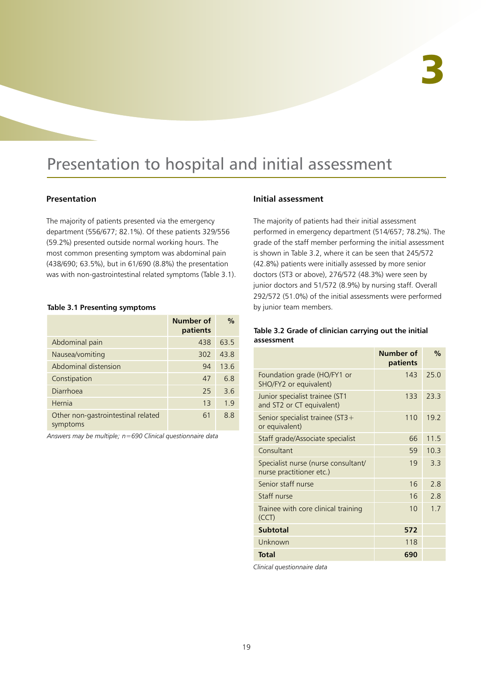# Presentation to hospital and initial assessment

# **Presentation**

The majority of patients presented via the emergency department (556/677; 82.1%). Of these patients 329/556 (59.2%) presented outside normal working hours. The most common presenting symptom was abdominal pain (438/690; 63.5%), but in 61/690 (8.8%) the presentation was with non-gastrointestinal related symptoms (Table 3.1).

### **Table 3.1 Presenting symptoms**

|                                                | Number of<br>patients | $\frac{0}{0}$ |
|------------------------------------------------|-----------------------|---------------|
| Abdominal pain                                 | 438                   | 63.5          |
| Nausea/vomiting                                | 302                   | 43.8          |
| Abdominal distension                           | 94                    | 13.6          |
| Constipation                                   | 47                    | 6.8           |
| Diarrhoea                                      | 25                    | 3.6           |
| Hernia                                         | 13                    | 1.9           |
| Other non-gastrointestinal related<br>symptoms | 61                    | 8.8           |

*Answers may be multiple; n=690 Clinical questionnaire data*

# **Initial assessment**

The majority of patients had their initial assessment performed in emergency department (514/657; 78.2%). The grade of the staff member performing the initial assessment is shown in Table 3.2, where it can be seen that 245/572 (42.8%) patients were initially assessed by more senior doctors (ST3 or above), 276/572 (48.3%) were seen by junior doctors and 51/572 (8.9%) by nursing staff. Overall 292/572 (51.0%) of the initial assessments were performed by junior team members.

# **Table 3.2 Grade of clinician carrying out the initial assessment**

|                                                                 | Number of<br>patients | $\%$ |
|-----------------------------------------------------------------|-----------------------|------|
| Foundation grade (HO/FY1 or<br>SHO/FY2 or equivalent)           | 143                   | 25.0 |
| Junior specialist trainee (ST1<br>and ST2 or CT equivalent)     | 133                   | 23.3 |
| Senior specialist trainee (ST3+<br>or equivalent)               | 110                   | 19.2 |
| Staff grade/Associate specialist                                | 66                    | 11.5 |
| Consultant                                                      | 59                    | 10.3 |
| Specialist nurse (nurse consultant/<br>nurse practitioner etc.) | 19                    | 3.3  |
| Senior staff nurse                                              | 16                    | 2.8  |
| Staff nurse                                                     | 16                    | 2.8  |
| Trainee with core clinical training<br>(CCT)                    | 1 <sub>0</sub>        | 1.7  |
| <b>Subtotal</b>                                                 | 572                   |      |
| Unknown                                                         | 118                   |      |
| <b>Total</b>                                                    | 690                   |      |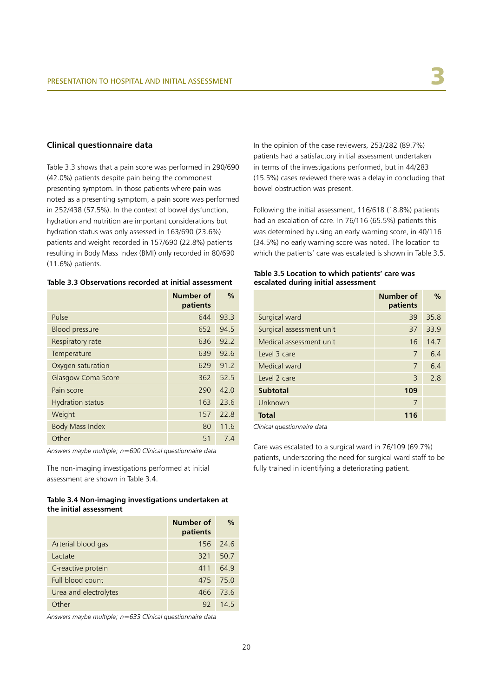### **Clinical questionnaire data**

Table 3.3 shows that a pain score was performed in 290/690 (42.0%) patients despite pain being the commonest presenting symptom. In those patients where pain was noted as a presenting symptom, a pain score was performed in 252/438 (57.5%). In the context of bowel dysfunction, hydration and nutrition are important considerations but hydration status was only assessed in 163/690 (23.6%) patients and weight recorded in 157/690 (22.8%) patients resulting in Body Mass Index (BMI) only recorded in 80/690 (11.6%) patients.

#### **Table 3.3 Observations recorded at initial assessment**

|                           | Number of<br>patients | $\frac{0}{0}$ |
|---------------------------|-----------------------|---------------|
| Pulse                     | 644                   | 93.3          |
| <b>Blood pressure</b>     | 652                   | 94.5          |
| Respiratory rate          | 636                   | 92.2          |
| Temperature               | 639                   | 92.6          |
| Oxygen saturation         | 629                   | 91.2          |
| <b>Glasgow Coma Score</b> | 362                   | 52.5          |
| Pain score                | 290                   | 42.0          |
| <b>Hydration status</b>   | 163                   | 23.6          |
| Weight                    | 157                   | 22.8          |
| <b>Body Mass Index</b>    | 80                    | 11.6          |
| Other                     | 51                    | 7.4           |

*Answers maybe multiple; n=690 Clinical questionnaire data*

The non-imaging investigations performed at initial assessment are shown in Table 3.4.

### **Table 3.4 Non-imaging investigations undertaken at the initial assessment**

|                       | Number of<br>patients | $\frac{0}{0}$ |
|-----------------------|-----------------------|---------------|
| Arterial blood gas    | 156                   | $-24.6$       |
| Lactate               | 321                   | 50.7          |
| C-reactive protein    | 411                   | 64.9          |
| Full blood count      | 475                   | 175.0         |
| Urea and electrolytes | 466                   | 73.6          |
| ∩ther                 | 92                    | 145           |

*Answers maybe multiple; n=633 Clinical questionnaire data*

In the opinion of the case reviewers, 253/282 (89.7%) patients had a satisfactory initial assessment undertaken in terms of the investigations performed, but in 44/283 (15.5%) cases reviewed there was a delay in concluding that bowel obstruction was present.

Following the initial assessment, 116/618 (18.8%) patients had an escalation of care. In 76/116 (65.5%) patients this was determined by using an early warning score, in 40/116 (34.5%) no early warning score was noted. The location to which the patients' care was escalated is shown in Table 3.5.

#### **Table 3.5 Location to which patients' care was escalated during initial assessment**

|                          | Number of<br>patients | $\frac{0}{0}$ |
|--------------------------|-----------------------|---------------|
| Surgical ward            | 39                    | 35.8          |
| Surgical assessment unit | 37                    | 33.9          |
| Medical assessment unit  | 16                    | 14.7          |
| Level 3 care             | 7                     | 6.4           |
| Medical ward             | 7                     | 6.4           |
| Level 2 care             | 3                     | 2.8           |
| <b>Subtotal</b>          | 109                   |               |
| Unknown                  | 7                     |               |
| <b>Total</b>             | 116                   |               |

*Clinical questionnaire data*

Care was escalated to a surgical ward in 76/109 (69.7%) patients, underscoring the need for surgical ward staff to be fully trained in identifying a deteriorating patient.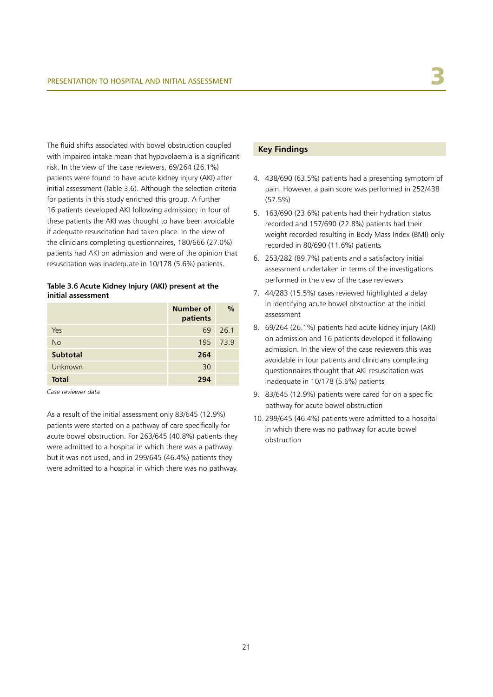The fluid shifts associated with bowel obstruction coupled with impaired intake mean that hypovolaemia is a significant risk. In the view of the case reviewers, 69/264 (26.1%) patients were found to have acute kidney injury (AKI) after initial assessment (Table 3.6). Although the selection criteria for patients in this study enriched this group. A further 16 patients developed AKI following admission; in four of these patients the AKI was thought to have been avoidable if adequate resuscitation had taken place. In the view of the clinicians completing questionnaires, 180/666 (27.0%) patients had AKI on admission and were of the opinion that resuscitation was inadequate in 10/178 (5.6%) patients.

### **Table 3.6 Acute Kidney Injury (AKI) present at the initial assessment**

|                 | Number of<br>patients | $\%$     |
|-----------------|-----------------------|----------|
| Yes             | 69                    | 26.1     |
| <b>No</b>       |                       | 195 73.9 |
| <b>Subtotal</b> | 264                   |          |
| Unknown         | 30                    |          |
| Total           | 294                   |          |

*Case reviewer data*

As a result of the initial assessment only 83/645 (12.9%) patients were started on a pathway of care specifically for acute bowel obstruction. For 263/645 (40.8%) patients they were admitted to a hospital in which there was a pathway but it was not used, and in 299/645 (46.4%) patients they were admitted to a hospital in which there was no pathway.

# **Key Findings**

- 4. 438/690 (63.5%) patients had a presenting symptom of pain. However, a pain score was performed in 252/438 (57.5%)
- 5. 163/690 (23.6%) patients had their hydration status recorded and 157/690 (22.8%) patients had their weight recorded resulting in Body Mass Index (BMI) only recorded in 80/690 (11.6%) patients
- 6. 253/282 (89.7%) patients and a satisfactory initial assessment undertaken in terms of the investigations performed in the view of the case reviewers
- 7. 44/283 (15.5%) cases reviewed highlighted a delay in identifying acute bowel obstruction at the initial assessment
- 8. 69/264 (26.1%) patients had acute kidney injury (AKI) on admission and 16 patients developed it following admission. In the view of the case reviewers this was avoidable in four patients and clinicians completing questionnaires thought that AKI resuscitation was inadequate in 10/178 (5.6%) patients
- 9. 83/645 (12.9%) patients were cared for on a specific pathway for acute bowel obstruction
- 10. 299/645 (46.4%) patients were admitted to a hospital in which there was no pathway for acute bowel obstruction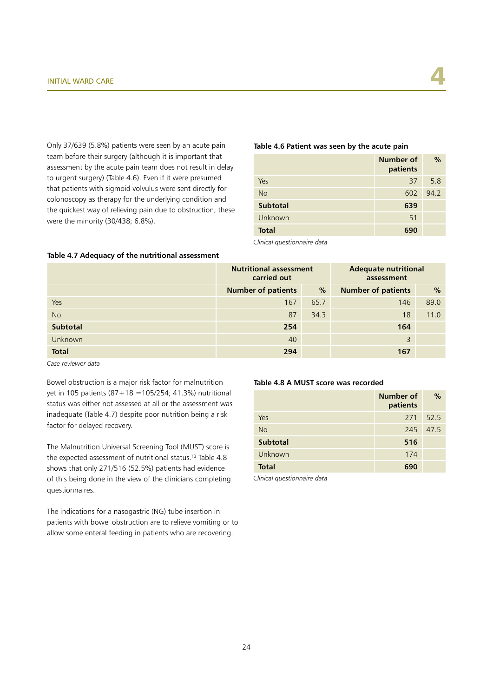Only 37/639 (5.8%) patients were seen by an acute pain team before their surgery (although it is important that assessment by the acute pain team does not result in delay to urgent surgery) (Table 4.6). Even if it were presumed that patients with sigmoid volvulus were sent directly for colonoscopy as therapy for the underlying condition and the quickest way of relieving pain due to obstruction, these were the minority (30/438; 6.8%).

#### **Table 4.6 Patient was seen by the acute pain**

|                 | Number of<br>patients | $\%$ |
|-----------------|-----------------------|------|
| Yes             | 37                    | 5.8  |
| <b>No</b>       | 602                   | 94.2 |
| <b>Subtotal</b> | 639                   |      |
| Unknown         | 51                    |      |
| <b>Total</b>    | 690                   |      |

*Clinical questionnaire data*

#### **Table 4.7 Adequacy of the nutritional assessment**

|                 | <b>Nutritional assessment</b><br>carried out |      | <b>Adequate nutritional</b><br>assessment |               |
|-----------------|----------------------------------------------|------|-------------------------------------------|---------------|
|                 | <b>Number of patients</b>                    | $\%$ | <b>Number of patients</b>                 | $\frac{0}{0}$ |
| Yes             | 167                                          | 65.7 | 146                                       | 89.0          |
| <b>No</b>       | 87                                           | 34.3 | 18                                        | 11.0          |
| <b>Subtotal</b> | 254                                          |      | 164                                       |               |
| Unknown         | 40                                           |      | 3                                         |               |
| <b>Total</b>    | 294                                          |      | 167                                       |               |

*Case reviewer data*

Bowel obstruction is a major risk factor for malnutrition yet in 105 patients (87+18 =105/254; 41.3%) nutritional status was either not assessed at all or the assessment was inadequate (Table 4.7) despite poor nutrition being a risk factor for delayed recovery.

The Malnutrition Universal Screening Tool (MUST) score is the expected assessment of nutritional status.<sup>13</sup> Table 4.8 shows that only 271/516 (52.5%) patients had evidence of this being done in the view of the clinicians completing questionnaires.

The indications for a nasogastric (NG) tube insertion in patients with bowel obstruction are to relieve vomiting or to allow some enteral feeding in patients who are recovering.

#### **Table 4.8 A MUST score was recorded**

|                 | <b>Number of</b><br>patients | $\%$ |
|-----------------|------------------------------|------|
| Yes             | 271                          | 52.5 |
| <b>No</b>       | 245                          | 47.5 |
| <b>Subtotal</b> | 516                          |      |
| Unknown         | 174                          |      |
| <b>Total</b>    | 690                          |      |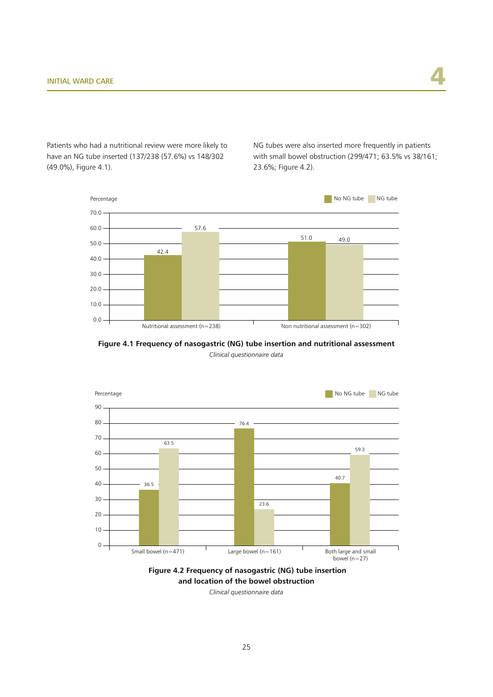Patients who had a nutritional review were more likely to have an NG tube inserted (137/238 (57.6%) vs 148/302 (49.0%), Figure 4.1).

NG tubes were also inserted more frequently in patients with small bowel obstruction (299/471; 63.5% vs 38/161; 23.6%; Figure 4.2).







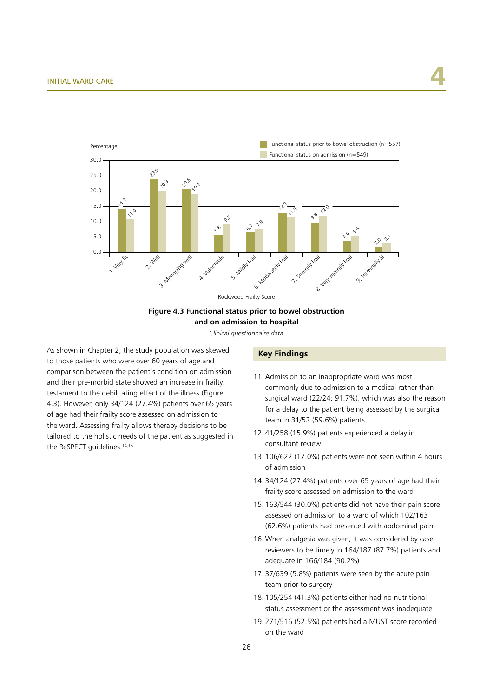

# **Figure 4.3 Functional status prior to bowel obstruction and on admission to hospital**

*Clinical questionnaire data*

As shown in Chapter 2, the study population was skewed to those patients who were over 60 years of age and comparison between the patient's condition on admission and their pre-morbid state showed an increase in frailty, testament to the debilitating effect of the illness (Figure 4.3). However, only 34/124 (27.4%) patients over 65 years of age had their frailty score assessed on admission to the ward. Assessing frailty allows therapy decisions to be tailored to the holistic needs of the patient as suggested in the ReSPECT guidelines.<sup>14,15</sup>

#### **Key Findings**

- 11. Admission to an inappropriate ward was most commonly due to admission to a medical rather than surgical ward (22/24; 91.7%), which was also the reason for a delay to the patient being assessed by the surgical team in 31/52 (59.6%) patients
- 12. 41/258 (15.9%) patients experienced a delay in consultant review
- 13. 106/622 (17.0%) patients were not seen within 4 hours of admission
- 14. 34/124 (27.4%) patients over 65 years of age had their frailty score assessed on admission to the ward
- 15. 163/544 (30.0%) patients did not have their pain score assessed on admission to a ward of which 102/163 (62.6%) patients had presented with abdominal pain
- 16. When analgesia was given, it was considered by case reviewers to be timely in 164/187 (87.7%) patients and adequate in 166/184 (90.2%)
- 17. 37/639 (5.8%) patients were seen by the acute pain team prior to surgery
- 18. 105/254 (41.3%) patients either had no nutritional status assessment or the assessment was inadequate
- 19. 271/516 (52.5%) patients had a MUST score recorded on the ward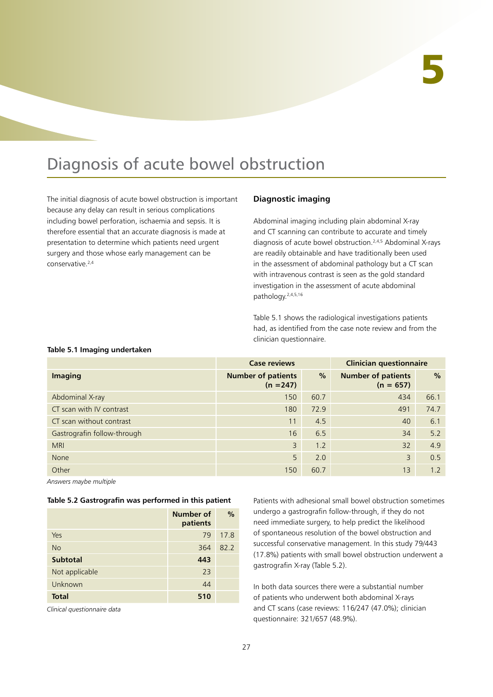# Diagnosis of acute bowel obstruction

The initial diagnosis of acute bowel obstruction is important because any delay can result in serious complications including bowel perforation, ischaemia and sepsis. It is therefore essential that an accurate diagnosis is made at presentation to determine which patients need urgent surgery and those whose early management can be conservative.2,4

# **Diagnostic imaging**

Abdominal imaging including plain abdominal X-ray and CT scanning can contribute to accurate and timely diagnosis of acute bowel obstruction.2,4,5 Abdominal X-rays are readily obtainable and have traditionally been used in the assessment of abdominal pathology but a CT scan with intravenous contrast is seen as the gold standard investigation in the assessment of acute abdominal pathology.2,4,5,16

Table 5.1 shows the radiological investigations patients had, as identified from the case note review and from the clinician questionnaire.

#### **Table 5.1 Imaging undertaken**

|                             | <b>Clinician questionnaire</b><br><b>Case reviews</b> |               |                                          |               |
|-----------------------------|-------------------------------------------------------|---------------|------------------------------------------|---------------|
| Imaging                     | <b>Number of patients</b><br>$(n = 247)$              | $\frac{9}{6}$ | <b>Number of patients</b><br>$(n = 657)$ | $\frac{0}{0}$ |
| Abdominal X-ray             | 150                                                   | 60.7          | 434                                      | 66.1          |
| CT scan with IV contrast    | 180                                                   | 72.9          | 491                                      | 74.7          |
| CT scan without contrast    | 11                                                    | 4.5           | 40                                       | 6.1           |
| Gastrografin follow-through | 16                                                    | 6.5           | 34                                       | 5.2           |
| <b>MRI</b>                  | 3                                                     | 1.2           | 32                                       | 4.9           |
| None                        | 5                                                     | 2.0           | 3                                        | 0.5           |
| Other                       | 150                                                   | 60.7          | 13                                       | 1.2           |

*Answers maybe multiple*

#### **Table 5.2 Gastrografin was performed in this patient**

|                 | Number of<br>patients | $\frac{0}{0}$ |
|-----------------|-----------------------|---------------|
| Yes             | 79                    | 17.8          |
| <b>No</b>       | 364                   | 82.2          |
| <b>Subtotal</b> | 443                   |               |
| Not applicable  | 23                    |               |
| Unknown         | 44                    |               |
| <b>Total</b>    | 510                   |               |

*Clinical questionnaire data*

Patients with adhesional small bowel obstruction sometimes undergo a gastrografin follow-through, if they do not need immediate surgery, to help predict the likelihood of spontaneous resolution of the bowel obstruction and successful conservative management. In this study 79/443 (17.8%) patients with small bowel obstruction underwent a gastrografin X-ray (Table 5.2).

In both data sources there were a substantial number of patients who underwent both abdominal X-rays and CT scans (case reviews: 116/247 (47.0%); clinician questionnaire: 321/657 (48.9%).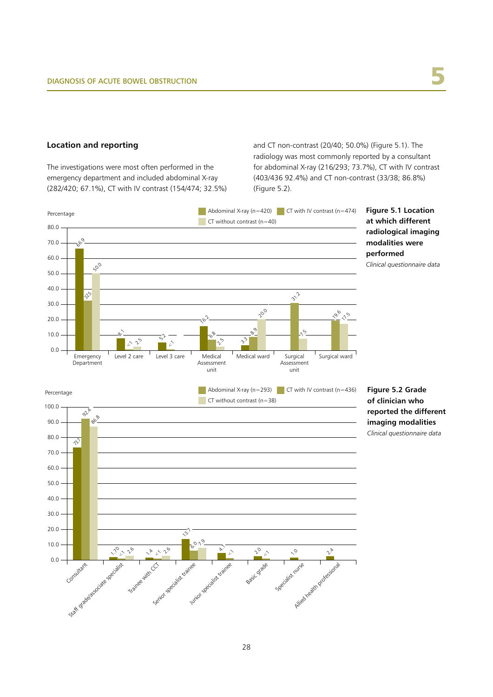#### **Location and reporting**

The investigations were most often performed in the emergency department and included abdominal X-ray (282/420; 67.1%), CT with IV contrast (154/474; 32.5%) and CT non-contrast (20/40; 50.0%) (Figure 5.1). The radiology was most commonly reported by a consultant for abdominal X-ray (216/293; 73.7%), CT with IV contrast (403/436 92.4%) and CT non-contrast (33/38; 86.8%) (Figure 5.2).

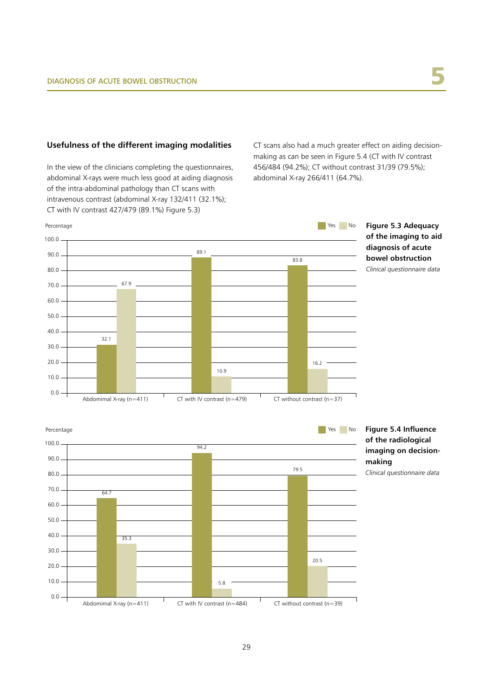# **Usefulness of the different imaging modalities**

In the view of the clinicians completing the questionnaires, abdominal X-rays were much less good at aiding diagnosis of the intra-abdominal pathology than CT scans with intravenous contrast (abdominal X-ray 132/411 (32.1%); CT with IV contrast 427/479 (89.1%) Figure 5.3)

CT scans also had a much greater effect on aiding decisionmaking as can be seen in Figure 5.4 (CT with IV contrast 456/484 (94.2%); CT without contrast 31/39 (79.5%); abdominal X-ray 266/411 (64.7%).





**imaging on decision-**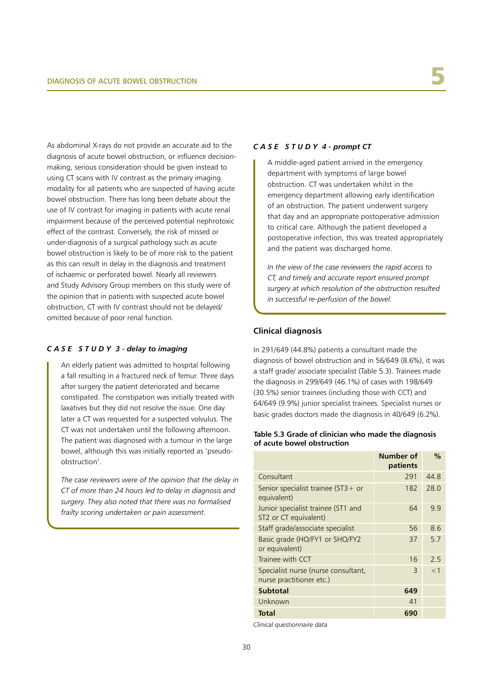As abdominal X-rays do not provide an accurate aid to the diagnosis of acute bowel obstruction, or influence decisionmaking, serious consideration should be given instead to using CT scans with IV contrast as the primary imaging modality for all patients who are suspected of having acute bowel obstruction. There has long been debate about the use of IV contrast for imaging in patients with acute renal impairment because of the perceived potential nephrotoxic effect of the contrast. Conversely, the risk of missed or under-diagnosis of a surgical pathology such as acute bowel obstruction is likely to be of more risk to the patient as this can result in delay in the diagnosis and treatment of ischaemic or perforated bowel. Nearly all reviewers and Study Advisory Group members on this study were of the opinion that in patients with suspected acute bowel obstruction, CT with IV contrast should not be delayed/ omitted because of poor renal function.

# *C A S E S T U D Y 3 - delay to imaging*

An elderly patient was admitted to hospital following a fall resulting in a fractured neck of femur. Three days after surgery the patient deteriorated and became constipated. The constipation was initially treated with laxatives but they did not resolve the issue. One day later a CT was requested for a suspected volvulus. The CT was not undertaken until the following afternoon. The patient was diagnosed with a tumour in the large bowel, although this was initially reported as 'pseudoobstruction'.

*The case reviewers were of the opinion that the delay in CT of more than 24 hours led to delay in diagnosis and surgery. They also noted that there was no formalised frailty scoring undertaken or pain assessment.*

#### *C A S E S T U D Y 4 - prompt CT*

A middle-aged patient arrived in the emergency department with symptoms of large bowel obstruction. CT was undertaken whilst in the emergency department allowing early identification of an obstruction. The patient underwent surgery that day and an appropriate postoperative admission to critical care. Although the patient developed a postoperative infection, this was treated appropriately and the patient was discharged home.

*In the view of the case reviewers the rapid access to CT, and timely and accurate report ensured prompt surgery at which resolution of the obstruction resulted in successful re-perfusion of the bowel.*

# **Clinical diagnosis**

In 291/649 (44.8%) patients a consultant made the diagnosis of bowel obstruction and in 56/649 (8.6%), it was a staff grade/ associate specialist (Table 5.3). Trainees made the diagnosis in 299/649 (46.1%) of cases with 198/649 (30.5%) senior trainees (including those with CCT) and 64/649 (9.9%) junior specialist trainees. Specialist nurses or basic grades doctors made the diagnosis in 40/649 (6.2%).

#### **Table 5.3 Grade of clinician who made the diagnosis of acute bowel obstruction**

|                                                                 | Number of<br>patients | $\%$  |
|-----------------------------------------------------------------|-----------------------|-------|
| Consultant                                                      | 291                   | 44.8  |
| Senior specialist trainee ( $ST3+$ or<br>equivalent)            | 182                   | 28.0  |
| Junior specialist trainee (ST1 and<br>ST2 or CT equivalent)     | 64                    | 9.9   |
| Staff grade/associate specialist                                | 56                    | 8.6   |
| Basic grade (HO/FY1 or SHO/FY2<br>or equivalent)                | 37                    | 5.7   |
| Trainee with CCT                                                | 16                    | 2.5   |
| Specialist nurse (nurse consultant,<br>nurse practitioner etc.) | 3                     | $<$ 1 |
| <b>Subtotal</b>                                                 | 649                   |       |
| Unknown                                                         | 41                    |       |
| Total                                                           | 690                   |       |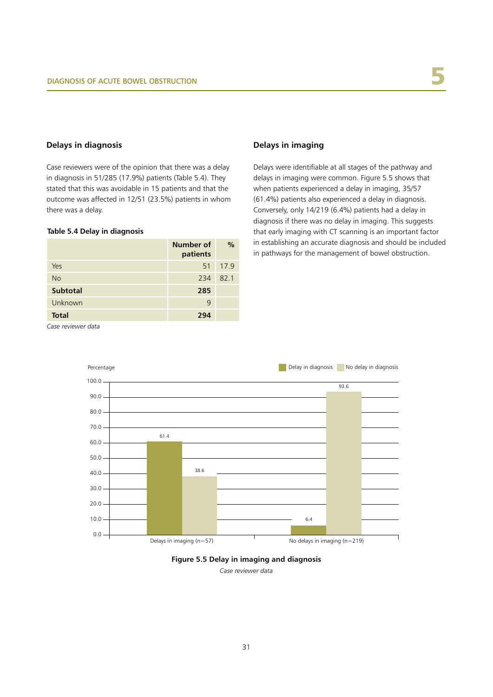# **Delays in diagnosis**

Case reviewers were of the opinion that there was a delay in diagnosis in 51/285 (17.9%) patients (Table 5.4). They stated that this was avoidable in 15 patients and that the outcome was affected in 12/51 (23.5%) patients in whom there was a delay.

### **Table 5.4 Delay in diagnosis**

|                 | Number of<br>patients | $\frac{0}{0}$ |
|-----------------|-----------------------|---------------|
| Yes             | 51                    | 17.9          |
| No              | 234                   | 82.1          |
| <b>Subtotal</b> | 285                   |               |
| Unknown         | 9                     |               |
| <b>Total</b>    | 294                   |               |

#### **Delays in imaging**

Delays were identifiable at all stages of the pathway and delays in imaging were common. Figure 5.5 shows that when patients experienced a delay in imaging, 35/57 (61.4%) patients also experienced a delay in diagnosis. Conversely, only 14/219 (6.4%) patients had a delay in diagnosis if there was no delay in imaging. This suggests that early imaging with CT scanning is an important factor in establishing an accurate diagnosis and should be included in pathways for the management of bowel obstruction.

*Case reviewer data*





*Case reviewer data*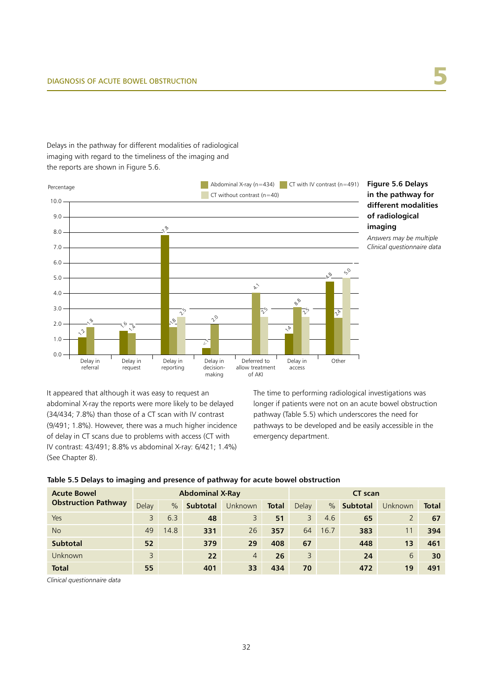# Delays in the pathway for different modalities of radiological imaging with regard to the timeliness of the imaging and the reports are shown in Figure 5.6.





It appeared that although it was easy to request an abdominal X-ray the reports were more likely to be delayed (34/434; 7.8%) than those of a CT scan with IV contrast (9/491; 1.8%). However, there was a much higher incidence of delay in CT scans due to problems with access (CT with IV contrast: 43/491; 8.8% vs abdominal X-ray: 6/421; 1.4%) (See Chapter 8).

The time to performing radiological investigations was longer if patients were not on an acute bowel obstruction pathway (Table 5.5) which underscores the need for pathways to be developed and be easily accessible in the emergency department.

|  |  |  |  |  |  | Table 5.5 Delays to imaging and presence of pathway for acute bowel obstruction |
|--|--|--|--|--|--|---------------------------------------------------------------------------------|
|--|--|--|--|--|--|---------------------------------------------------------------------------------|

| <b>Acute Bowel</b><br><b>Obstruction Pathway</b> | <b>Abdominal X-Ray</b> |      |                 |                |              | <b>CT</b> scan |      |          |                |              |
|--------------------------------------------------|------------------------|------|-----------------|----------------|--------------|----------------|------|----------|----------------|--------------|
|                                                  | Delay                  | $\%$ | <b>Subtotal</b> | Unknown        | <b>Total</b> | Delay          | $\%$ | Subtotal | <b>Unknown</b> | <b>Total</b> |
| Yes                                              | 3                      | 6.3  | 48              | 3              | 51           | 3              | 4.6  | 65       | 2              | 67           |
| <b>No</b>                                        | 49                     | 14.8 | 331             | 26             | 357          | 64             | 16.7 | 383      |                | 394          |
| <b>Subtotal</b>                                  | 52                     |      | 379             | 29             | 408          | 67             |      | 448      | 1 <sub>3</sub> | 461          |
| <b>Unknown</b>                                   | 3                      |      | 22              | $\overline{4}$ | 26           | 3              |      | 24       | 6              | 30           |
| <b>Total</b>                                     | 55                     |      | 401             | 33             | 434          | 70             |      | 472      | 19             | 491          |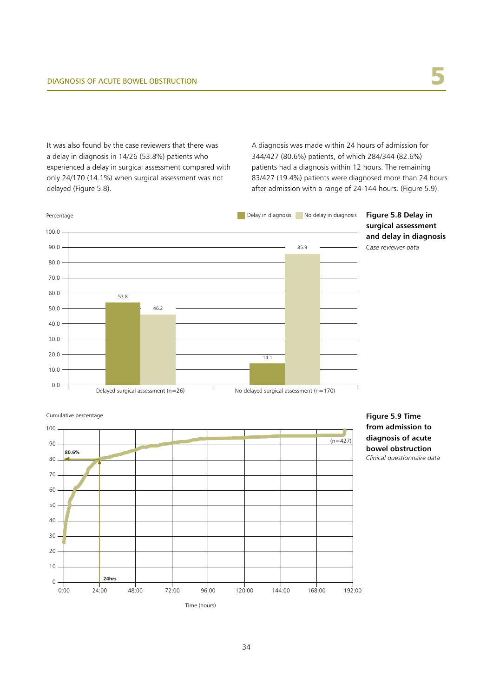It was also found by the case reviewers that there was a delay in diagnosis in 14/26 (53.8%) patients who experienced a delay in surgical assessment compared with only 24/170 (14.1%) when surgical assessment was not delayed (Figure 5.8).

A diagnosis was made within 24 hours of admission for 344/427 (80.6%) patients, of which 284/344 (82.6%) patients had a diagnosis within 12 hours. The remaining 83/427 (19.4%) patients were diagnosed more than 24 hours after admission with a range of 24-144 hours. (Figure 5.9).



100 90 80 70 60 50 40 30 20 10 0 0:00 24:00 48:00 72:00 96:00 120:00 144:00 168:00 192:00 Cumulative percentage Time (hours) **24hrs 80.6%**  $(n=427)$ 

**Figure 5.9 Time from admission to diagnosis of acute bowel obstruction**



34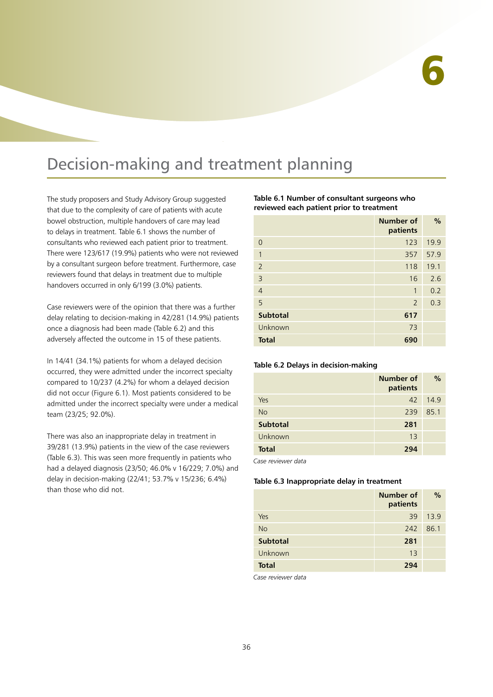## Decision-making and treatment planning

The study proposers and Study Advisory Group suggested that due to the complexity of care of patients with acute bowel obstruction, multiple handovers of care may lead to delays in treatment. Table 6.1 shows the number of consultants who reviewed each patient prior to treatment. There were 123/617 (19.9%) patients who were not reviewed by a consultant surgeon before treatment. Furthermore, case reviewers found that delays in treatment due to multiple handovers occurred in only 6/199 (3.0%) patients.

Case reviewers were of the opinion that there was a further delay relating to decision-making in 42/281 (14.9%) patients once a diagnosis had been made (Table 6.2) and this adversely affected the outcome in 15 of these patients.

In 14/41 (34.1%) patients for whom a delayed decision occurred, they were admitted under the incorrect specialty compared to 10/237 (4.2%) for whom a delayed decision did not occur (Figure 6.1). Most patients considered to be admitted under the incorrect specialty were under a medical team (23/25; 92.0%).

There was also an inappropriate delay in treatment in 39/281 (13.9%) patients in the view of the case reviewers (Table 6.3). This was seen more frequently in patients who had a delayed diagnosis (23/50; 46.0% v 16/229; 7.0%) and delay in decision-making (22/41; 53.7% v 15/236; 6.4%) than those who did not.

#### **Table 6.1 Number of consultant surgeons who reviewed each patient prior to treatment**

|                 | Number of<br>patients | $\frac{0}{0}$ |
|-----------------|-----------------------|---------------|
| $\Omega$        | 123                   | 19.9          |
| 1               | 357                   | 57.9          |
| $\overline{2}$  | 118                   | 19.1          |
| $\overline{3}$  | 16                    | 2.6           |
| $\overline{4}$  | 1                     | 0.2           |
| 5               | $\overline{2}$        | 0.3           |
| <b>Subtotal</b> | 617                   |               |
| Unknown         | 73                    |               |
| <b>Total</b>    | 690                   |               |

#### **Table 6.2 Delays in decision-making**

|                 | Number of<br>patients | $\%$ |
|-----------------|-----------------------|------|
| Yes             | 42                    | 14.9 |
| <b>No</b>       | 239                   | 85.1 |
| <b>Subtotal</b> | 281                   |      |
| Unknown         | 13                    |      |
| <b>Total</b>    | 294                   |      |

*Case reviewer data*

#### **Table 6.3 Inappropriate delay in treatment**

|                 | Number of<br>patients | $\%$ |
|-----------------|-----------------------|------|
| Yes             | 39                    | 13.9 |
| <b>No</b>       | 242                   | 86.1 |
| <b>Subtotal</b> | 281                   |      |
| Unknown         | 13                    |      |
| <b>Total</b>    | 294                   |      |

*Case reviewer data*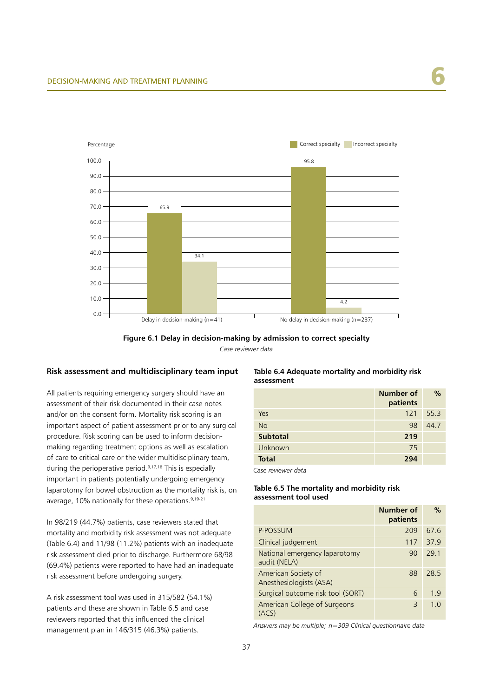



#### **Risk assessment and multidisciplinary team input**

All patients requiring emergency surgery should have an assessment of their risk documented in their case notes and/or on the consent form. Mortality risk scoring is an important aspect of patient assessment prior to any surgical procedure. Risk scoring can be used to inform decisionmaking regarding treatment options as well as escalation of care to critical care or the wider multidisciplinary team, during the perioperative period.9,17,18 This is especially important in patients potentially undergoing emergency laparotomy for bowel obstruction as the mortality risk is, on average, 10% nationally for these operations.<sup>9,19-21</sup>

In 98/219 (44.7%) patients, case reviewers stated that mortality and morbidity risk assessment was not adequate (Table 6.4) and 11/98 (11.2%) patients with an inadequate risk assessment died prior to discharge. Furthermore 68/98 (69.4%) patients were reported to have had an inadequate risk assessment before undergoing surgery.

A risk assessment tool was used in 315/582 (54.1%) patients and these are shown in Table 6.5 and case reviewers reported that this influenced the clinical management plan in 146/315 (46.3%) patients.

#### **Table 6.4 Adequate mortality and morbidity risk assessment**

|                 | Number of<br>patients | $\%$ |
|-----------------|-----------------------|------|
| Yes             | 121                   | 55.3 |
| <b>No</b>       | 98                    | 44.7 |
| <b>Subtotal</b> | 219                   |      |
| Unknown         | 75                    |      |
| <b>Total</b>    | 294                   |      |

*Case reviewer data*

#### **Table 6.5 The mortality and morbidity risk assessment tool used**

|                                                | Number of<br>patients | $\frac{0}{0}$ |
|------------------------------------------------|-----------------------|---------------|
| P-POSSUM                                       | 209                   | 67.6          |
| Clinical judgement                             | 117                   | 37.9          |
| National emergency laparotomy<br>audit (NELA)  | 90                    | 29.1          |
| American Society of<br>Anesthesiologists (ASA) | 88                    | 28.5          |
| Surgical outcome risk tool (SORT)              | 6                     | 1.9           |
| American College of Surgeons<br>(ACS)          | Β                     | 1.0           |

*Answers may be multiple; n=309 Clinical questionnaire data*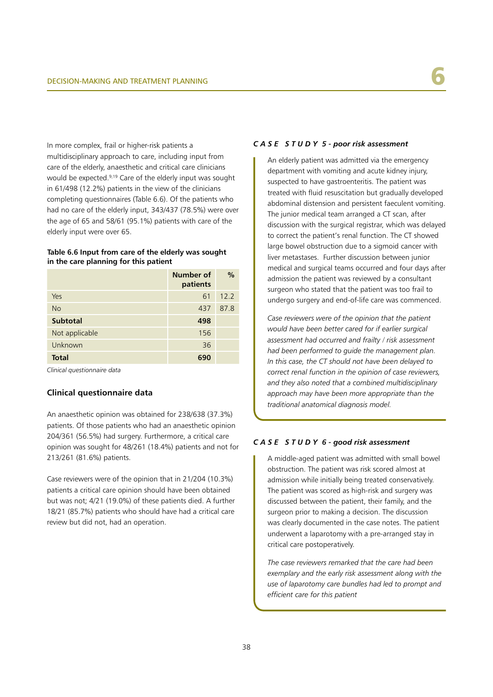In more complex, frail or higher-risk patients a multidisciplinary approach to care, including input from care of the elderly, anaesthetic and critical care clinicians would be expected.9,19 Care of the elderly input was sought in 61/498 (12.2%) patients in the view of the clinicians completing questionnaires (Table 6.6). Of the patients who had no care of the elderly input, 343/437 (78.5%) were over the age of 65 and 58/61 (95.1%) patients with care of the elderly input were over 65.

#### **Table 6.6 Input from care of the elderly was sought in the care planning for this patient**

|                 | Number of<br>patients | $\frac{0}{0}$ |
|-----------------|-----------------------|---------------|
| Yes             | 61                    | 12.2          |
| <b>No</b>       | 437                   | 87.8          |
| <b>Subtotal</b> | 498                   |               |
| Not applicable  | 156                   |               |
| Unknown         | 36                    |               |
| <b>Total</b>    | 690                   |               |

*Clinical questionnaire data*

#### **Clinical questionnaire data**

An anaesthetic opinion was obtained for 238/638 (37.3%) patients. Of those patients who had an anaesthetic opinion 204/361 (56.5%) had surgery. Furthermore, a critical care opinion was sought for 48/261 (18.4%) patients and not for 213/261 (81.6%) patients.

Case reviewers were of the opinion that in 21/204 (10.3%) patients a critical care opinion should have been obtained but was not; 4/21 (19.0%) of these patients died. A further 18/21 (85.7%) patients who should have had a critical care review but did not, had an operation.

#### *C A S E S T U D Y 5 - poor risk assessment*

An elderly patient was admitted via the emergency department with vomiting and acute kidney injury, suspected to have gastroenteritis. The patient was treated with fluid resuscitation but gradually developed abdominal distension and persistent faeculent vomiting. The junior medical team arranged a CT scan, after discussion with the surgical registrar, which was delayed to correct the patient's renal function. The CT showed large bowel obstruction due to a sigmoid cancer with liver metastases. Further discussion between junior medical and surgical teams occurred and four days after admission the patient was reviewed by a consultant surgeon who stated that the patient was too frail to undergo surgery and end-of-life care was commenced.

*Case reviewers were of the opinion that the patient would have been better cared for if earlier surgical assessment had occurred and frailty / risk assessment had been performed to guide the management plan. In this case, the CT should not have been delayed to correct renal function in the opinion of case reviewers, and they also noted that a combined multidisciplinary approach may have been more appropriate than the traditional anatomical diagnosis model.*

#### *C A S E S T U D Y 6 - good risk assessment*

A middle-aged patient was admitted with small bowel obstruction. The patient was risk scored almost at admission while initially being treated conservatively. The patient was scored as high-risk and surgery was discussed between the patient, their family, and the surgeon prior to making a decision. The discussion was clearly documented in the case notes. The patient underwent a laparotomy with a pre-arranged stay in critical care postoperatively.

*The case reviewers remarked that the care had been exemplary and the early risk assessment along with the use of laparotomy care bundles had led to prompt and efficient care for this patient*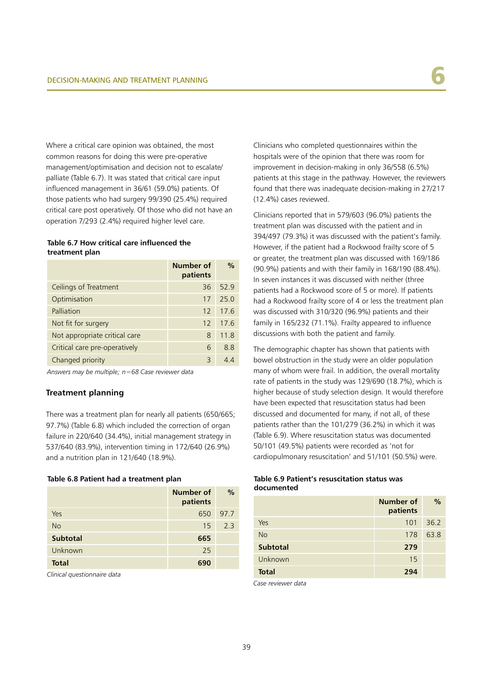Where a critical care opinion was obtained, the most common reasons for doing this were pre-operative management/optimisation and decision not to escalate/ palliate (Table 6.7). It was stated that critical care input influenced management in 36/61 (59.0%) patients. Of those patients who had surgery 99/390 (25.4%) required critical care post operatively. Of those who did not have an operation 7/293 (2.4%) required higher level care.

#### **Table 6.7 How critical care influenced the treatment plan**

|                               | Number of<br>patients | $\frac{0}{0}$ |
|-------------------------------|-----------------------|---------------|
| Ceilings of Treatment         | 36                    | 52.9          |
| Optimisation                  | 17                    | 25.0          |
| Palliation                    | 12                    | 17.6          |
| Not fit for surgery           | $12 \overline{ }$     | 17.6          |
| Not appropriate critical care | 8                     | 11.8          |
| Critical care pre-operatively | 6                     | 8.8           |
| Changed priority              | 3                     |               |

*Answers may be multiple; n=68 Case reviewer data*

#### **Treatment planning**

There was a treatment plan for nearly all patients (650/665; 97.7%) (Table 6.8) which included the correction of organ failure in 220/640 (34.4%), initial management strategy in 537/640 (83.9%), intervention timing in 172/640 (26.9%) and a nutrition plan in 121/640 (18.9%).

#### **Table 6.8 Patient had a treatment plan**

|                 | Number of<br>patients | $\%$ |
|-----------------|-----------------------|------|
| Yes             | 650                   | 97.7 |
| No              | 15                    | 23   |
| <b>Subtotal</b> | 665                   |      |
| Unknown         | 25                    |      |
| <b>Total</b>    | 690                   |      |

*Clinical questionnaire data*

Clinicians who completed questionnaires within the hospitals were of the opinion that there was room for improvement in decision-making in only 36/558 (6.5%) patients at this stage in the pathway. However, the reviewers found that there was inadequate decision-making in 27/217 (12.4%) cases reviewed.

Clinicians reported that in 579/603 (96.0%) patients the treatment plan was discussed with the patient and in 394/497 (79.3%) it was discussed with the patient's family. However, if the patient had a Rockwood frailty score of 5 or greater, the treatment plan was discussed with 169/186 (90.9%) patients and with their family in 168/190 (88.4%). In seven instances it was discussed with neither (three patients had a Rockwood score of 5 or more). If patients had a Rockwood frailty score of 4 or less the treatment plan was discussed with 310/320 (96.9%) patients and their family in 165/232 (71.1%). Frailty appeared to influence discussions with both the patient and family.

The demographic chapter has shown that patients with bowel obstruction in the study were an older population many of whom were frail. In addition, the overall mortality rate of patients in the study was 129/690 (18.7%), which is higher because of study selection design. It would therefore have been expected that resuscitation status had been discussed and documented for many, if not all, of these patients rather than the 101/279 (36.2%) in which it was (Table 6.9). Where resuscitation status was documented 50/101 (49.5%) patients were recorded as 'not for cardiopulmonary resuscitation' and 51/101 (50.5%) were.

#### **Table 6.9 Patient's resuscitation status was documented**

|                 | Number of<br>patients | $\%$ |
|-----------------|-----------------------|------|
| Yes             | 101                   | 36.2 |
| <b>No</b>       | 178                   | 63.8 |
| <b>Subtotal</b> | 279                   |      |
| Unknown         | 15                    |      |
| <b>Total</b>    | 294                   |      |

*Case reviewer data*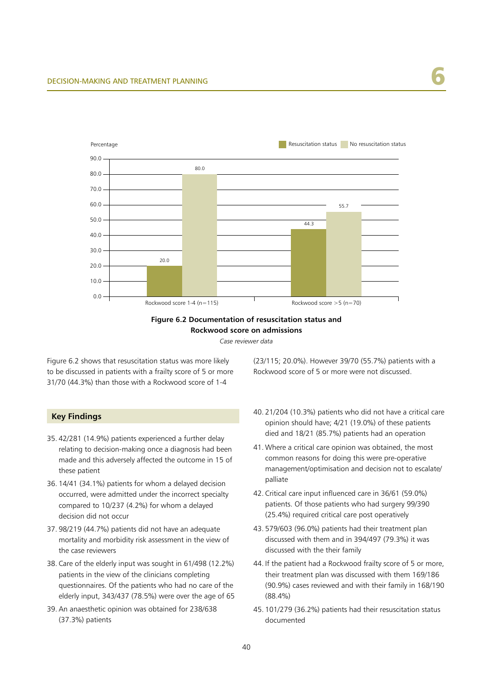

**Figure 6.2 Documentation of resuscitation status and Rockwood score on admissions**

*Case reviewer data*

Figure 6.2 shows that resuscitation status was more likely to be discussed in patients with a frailty score of 5 or more 31/70 (44.3%) than those with a Rockwood score of 1-4

#### **Key Findings**

- 35. 42/281 (14.9%) patients experienced a further delay relating to decision-making once a diagnosis had been made and this adversely affected the outcome in 15 of these patient
- 36. 14/41 (34.1%) patients for whom a delayed decision occurred, were admitted under the incorrect specialty compared to 10/237 (4.2%) for whom a delayed decision did not occur
- 37. 98/219 (44.7%) patients did not have an adequate mortality and morbidity risk assessment in the view of the case reviewers
- 38. Care of the elderly input was sought in 61/498 (12.2%) patients in the view of the clinicians completing questionnaires. Of the patients who had no care of the elderly input, 343/437 (78.5%) were over the age of 65
- 39. An anaesthetic opinion was obtained for 238/638 (37.3%) patients

(23/115; 20.0%). However 39/70 (55.7%) patients with a Rockwood score of 5 or more were not discussed.

- 40. 21/204 (10.3%) patients who did not have a critical care opinion should have; 4/21 (19.0%) of these patients died and 18/21 (85.7%) patients had an operation
- 41. Where a critical care opinion was obtained, the most common reasons for doing this were pre-operative management/optimisation and decision not to escalate/ palliate
- 42. Critical care input influenced care in 36/61 (59.0%) patients. Of those patients who had surgery 99/390 (25.4%) required critical care post operatively
- 43. 579/603 (96.0%) patients had their treatment plan discussed with them and in 394/497 (79.3%) it was discussed with the their family
- 44. If the patient had a Rockwood frailty score of 5 or more, their treatment plan was discussed with them 169/186 (90.9%) cases reviewed and with their family in 168/190 (88.4%)
- 45. 101/279 (36.2%) patients had their resuscitation status documented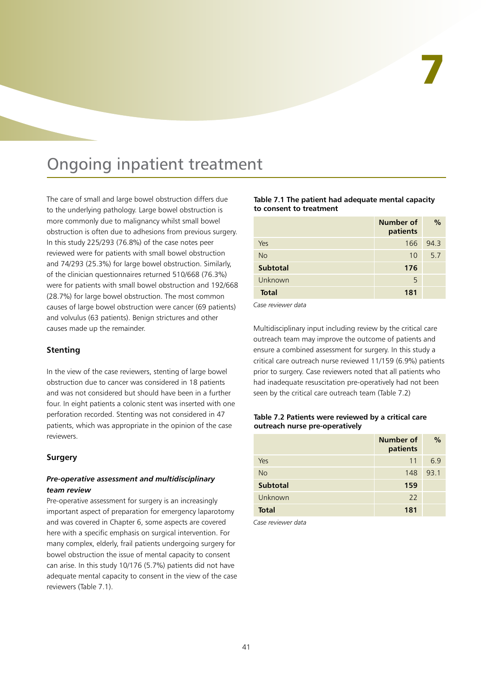## Ongoing inpatient treatment

The care of small and large bowel obstruction differs due to the underlying pathology. Large bowel obstruction is more commonly due to malignancy whilst small bowel obstruction is often due to adhesions from previous surgery. In this study 225/293 (76.8%) of the case notes peer reviewed were for patients with small bowel obstruction and 74/293 (25.3%) for large bowel obstruction. Similarly, of the clinician questionnaires returned 510/668 (76.3%) were for patients with small bowel obstruction and 192/668 (28.7%) for large bowel obstruction. The most common causes of large bowel obstruction were cancer (69 patients) and volvulus (63 patients). Benign strictures and other causes made up the remainder.

#### **Stenting**

In the view of the case reviewers, stenting of large bowel obstruction due to cancer was considered in 18 patients and was not considered but should have been in a further four. In eight patients a colonic stent was inserted with one perforation recorded. Stenting was not considered in 47 patients, which was appropriate in the opinion of the case reviewers.

#### **Surgery**

#### *Pre-operative assessment and multidisciplinary team review*

Pre-operative assessment for surgery is an increasingly important aspect of preparation for emergency laparotomy and was covered in Chapter 6, some aspects are covered here with a specific emphasis on surgical intervention. For many complex, elderly, frail patients undergoing surgery for bowel obstruction the issue of mental capacity to consent can arise. In this study 10/176 (5.7%) patients did not have adequate mental capacity to consent in the view of the case reviewers (Table 7.1).

**Table 7.1 The patient had adequate mental capacity to consent to treatment**

|                 | Number of<br>patients | $\%$ |
|-----------------|-----------------------|------|
| Yes             | 166                   | 94.3 |
| <b>No</b>       | 10                    | 5.7  |
| <b>Subtotal</b> | 176                   |      |
| Unknown         | 5                     |      |
| <b>Total</b>    | 181                   |      |

*Case reviewer data*

Multidisciplinary input including review by the critical care outreach team may improve the outcome of patients and ensure a combined assessment for surgery. In this study a critical care outreach nurse reviewed 11/159 (6.9%) patients prior to surgery. Case reviewers noted that all patients who had inadequate resuscitation pre-operatively had not been seen by the critical care outreach team (Table 7.2)

#### **Table 7.2 Patients were reviewed by a critical care outreach nurse pre-operatively**

|                 | Number of<br>patients | $\%$ |
|-----------------|-----------------------|------|
| Yes             | 11                    | 6.9  |
| <b>No</b>       | 148                   | 93.1 |
| <b>Subtotal</b> | 159                   |      |
| Unknown         | 22                    |      |
| <b>Total</b>    | 181                   |      |

*Case reviewer data*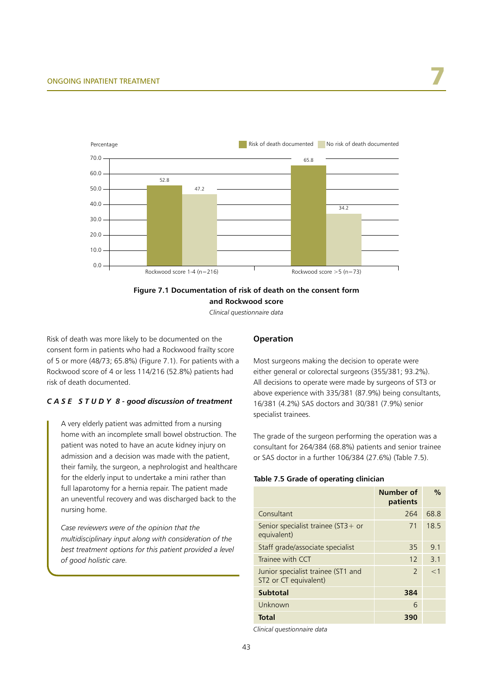

#### **Figure 7.1 Documentation of risk of death on the consent form**

**and Rockwood score**

*Clinical questionnaire data*

Risk of death was more likely to be documented on the consent form in patients who had a Rockwood frailty score of 5 or more (48/73; 65.8%) (Figure 7.1). For patients with a Rockwood score of 4 or less 114/216 (52.8%) patients had risk of death documented.

#### *C A S E S T U D Y 8 - good discussion of treatment*

A very elderly patient was admitted from a nursing home with an incomplete small bowel obstruction. The patient was noted to have an acute kidney injury on admission and a decision was made with the patient, their family, the surgeon, a nephrologist and healthcare for the elderly input to undertake a mini rather than full laparotomy for a hernia repair. The patient made an uneventful recovery and was discharged back to the nursing home.

*Case reviewers were of the opinion that the multidisciplinary input along with consideration of the best treatment options for this patient provided a level of good holistic care.*

#### **Operation**

Most surgeons making the decision to operate were either general or colorectal surgeons (355/381; 93.2%). All decisions to operate were made by surgeons of ST3 or above experience with 335/381 (87.9%) being consultants, 16/381 (4.2%) SAS doctors and 30/381 (7.9%) senior specialist trainees.

The grade of the surgeon performing the operation was a consultant for 264/384 (68.8%) patients and senior trainee or SAS doctor in a further 106/384 (27.6%) (Table 7.5).

#### **Table 7.5 Grade of operating clinician**

|                                                             | Number of<br>patients | $\frac{0}{0}$ |
|-------------------------------------------------------------|-----------------------|---------------|
| Consultant                                                  | 264                   | 68.8          |
| Senior specialist trainee ( $ST3+$ or<br>equivalent)        | 71                    | 18.5          |
| Staff grade/associate specialist                            | 35                    | 9.1           |
| Trainee with CCT                                            | 12                    | 3.1           |
| Junior specialist trainee (ST1 and<br>ST2 or CT equivalent) | $\mathcal{P}$         | $<$ 1         |
| <b>Subtotal</b>                                             | 384                   |               |
| Unknown                                                     | 6                     |               |
| <b>Total</b>                                                | 390                   |               |

*Clinical questionnaire data*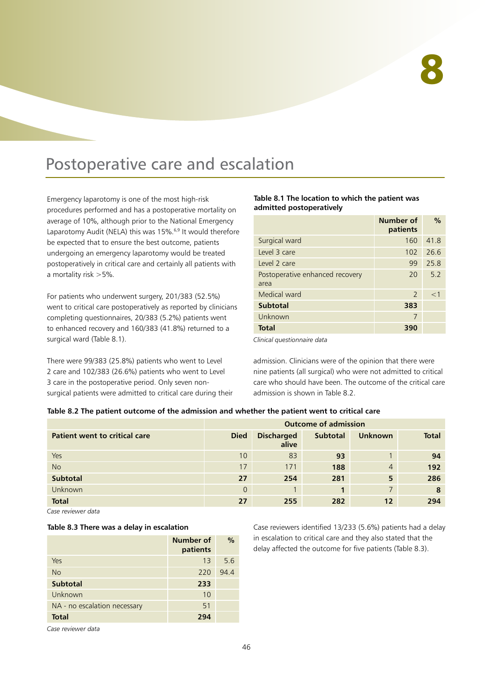### Postoperative care and escalation

Emergency laparotomy is one of the most high-risk procedures performed and has a postoperative mortality on average of 10%, although prior to the National Emergency Laparotomy Audit (NELA) this was 15%.6,9 It would therefore be expected that to ensure the best outcome, patients undergoing an emergency laparotomy would be treated postoperatively in critical care and certainly all patients with a mortality risk >5%.

For patients who underwent surgery, 201/383 (52.5%) went to critical care postoperatively as reported by clinicians completing questionnaires, 20/383 (5.2%) patients went to enhanced recovery and 160/383 (41.8%) returned to a surgical ward (Table 8.1).

There were 99/383 (25.8%) patients who went to Level 2 care and 102/383 (26.6%) patients who went to Level 3 care in the postoperative period. Only seven nonsurgical patients were admitted to critical care during their

**Table 8.1 The location to which the patient was admitted postoperatively**

|                                         | Number of<br>patients | $\frac{0}{0}$ |
|-----------------------------------------|-----------------------|---------------|
| Surgical ward                           | 160                   | 41.8          |
| Level 3 care                            | 102                   | 26.6          |
| Level 2 care                            | 99                    | 25.8          |
| Postoperative enhanced recovery<br>area | 20                    | 5.2           |
| Medical ward                            | $\mathcal{P}$         | $<$ 1         |
| <b>Subtotal</b>                         | 383                   |               |
| Unknown                                 | 7                     |               |
| <b>Total</b>                            | 390                   |               |

*Clinical questionnaire data*

admission. Clinicians were of the opinion that there were nine patients (all surgical) who were not admitted to critical care who should have been. The outcome of the critical care admission is shown in Table 8.2.

#### **Table 8.2 The patient outcome of the admission and whether the patient went to critical care**

|                                      | <b>Outcome of admission</b> |                            |                 |                |              |
|--------------------------------------|-----------------------------|----------------------------|-----------------|----------------|--------------|
| <b>Patient went to critical care</b> | <b>Died</b>                 | <b>Discharged</b><br>alive | <b>Subtotal</b> | <b>Unknown</b> | <b>Total</b> |
| Yes                                  | 10                          | 83                         | 93              |                | 94           |
| <b>No</b>                            | 17                          | 171                        | 188             | $\overline{4}$ | 192          |
| <b>Subtotal</b>                      | 27                          | 254                        | 281             | 5              | 286          |
| <b>Unknown</b>                       | $\Omega$                    |                            |                 |                | 8            |
| <b>Total</b>                         | 27                          | 255                        | 282             | 12             | 294          |

*Case reviewer data*

|  |  |  |  | Table 8.3 There was a delay in escalation |
|--|--|--|--|-------------------------------------------|
|--|--|--|--|-------------------------------------------|

|                              | Number of<br>patients | $\frac{0}{0}$ |
|------------------------------|-----------------------|---------------|
| Yes                          | 13                    | 5.6           |
| <b>No</b>                    | 220                   | 94.4          |
| <b>Subtotal</b>              | 233                   |               |
| Unknown                      | 10                    |               |
| NA - no escalation necessary | 51                    |               |
| <b>Total</b>                 | 294                   |               |

Case reviewers identified 13/233 (5.6%) patients had a delay in escalation to critical care and they also stated that the delay affected the outcome for five patients (Table 8.3).

*Case reviewer data*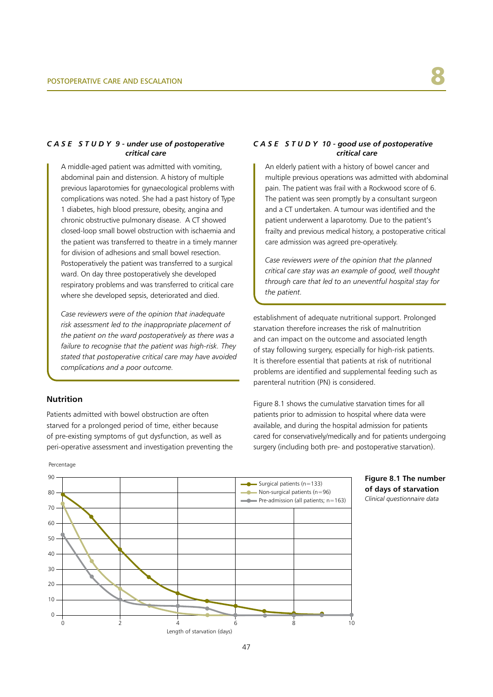#### *C A S E S T U D Y 9 - under use of postoperative critical care*

A middle-aged patient was admitted with vomiting, abdominal pain and distension. A history of multiple previous laparotomies for gynaecological problems with complications was noted. She had a past history of Type 1 diabetes, high blood pressure, obesity, angina and chronic obstructive pulmonary disease. A CT showed closed-loop small bowel obstruction with ischaemia and the patient was transferred to theatre in a timely manner for division of adhesions and small bowel resection. Postoperatively the patient was transferred to a surgical ward. On day three postoperatively she developed respiratory problems and was transferred to critical care where she developed sepsis, deteriorated and died.

*Case reviewers were of the opinion that inadequate risk assessment led to the inappropriate placement of the patient on the ward postoperatively as there was a failure to recognise that the patient was high-risk. They stated that postoperative critical care may have avoided complications and a poor outcome.*

#### **Nutrition**

Patients admitted with bowel obstruction are often starved for a prolonged period of time, either because of pre-existing symptoms of gut dysfunction, as well as peri-operative assessment and investigation preventing the

#### *C A S E S T U D Y 10 - good use of postoperative critical care*

An elderly patient with a history of bowel cancer and multiple previous operations was admitted with abdominal pain. The patient was frail with a Rockwood score of 6. The patient was seen promptly by a consultant surgeon and a CT undertaken. A tumour was identified and the patient underwent a laparotomy. Due to the patient's frailty and previous medical history, a postoperative critical care admission was agreed pre-operatively.

*Case reviewers were of the opinion that the planned critical care stay was an example of good, well thought through care that led to an uneventful hospital stay for the patient.*

establishment of adequate nutritional support. Prolonged starvation therefore increases the risk of malnutrition and can impact on the outcome and associated length of stay following surgery, especially for high-risk patients. It is therefore essential that patients at risk of nutritional problems are identified and supplemental feeding such as parenteral nutrition (PN) is considered.

Figure 8.1 shows the cumulative starvation times for all patients prior to admission to hospital where data were available, and during the hospital admission for patients cared for conservatively/medically and for patients undergoing surgery (including both pre- and postoperative starvation).



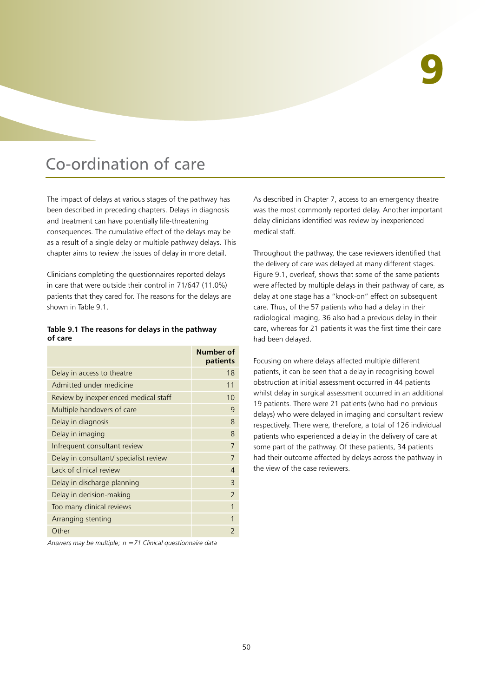## Co-ordination of care

The impact of delays at various stages of the pathway has been described in preceding chapters. Delays in diagnosis and treatment can have potentially life-threatening consequences. The cumulative effect of the delays may be as a result of a single delay or multiple pathway delays. This chapter aims to review the issues of delay in more detail.

Clinicians completing the questionnaires reported delays in care that were outside their control in 71/647 (11.0%) patients that they cared for. The reasons for the delays are shown in Table 9.1.

#### **Table 9.1 The reasons for delays in the pathway of care**

|                                        | Number of<br>patients |
|----------------------------------------|-----------------------|
| Delay in access to theatre             | 18                    |
| Admitted under medicine                | 11                    |
| Review by inexperienced medical staff  | 10                    |
| Multiple handovers of care             | 9                     |
| Delay in diagnosis                     | 8                     |
| Delay in imaging                       | 8                     |
| Infrequent consultant review           | 7                     |
| Delay in consultant/ specialist review |                       |
| Lack of clinical review                | 4                     |
| Delay in discharge planning            | 3                     |
| Delay in decision-making               | $\overline{2}$        |
| Too many clinical reviews              |                       |
| Arranging stenting                     |                       |
| Other                                  |                       |

*Answers may be multiple; n =71 Clinical questionnaire data*

As described in Chapter 7, access to an emergency theatre was the most commonly reported delay. Another important delay clinicians identified was review by inexperienced medical staff.

Throughout the pathway, the case reviewers identified that the delivery of care was delayed at many different stages. Figure 9.1, overleaf, shows that some of the same patients were affected by multiple delays in their pathway of care, as delay at one stage has a "knock-on" effect on subsequent care. Thus, of the 57 patients who had a delay in their radiological imaging, 36 also had a previous delay in their care, whereas for 21 patients it was the first time their care had been delayed.

Focusing on where delays affected multiple different patients, it can be seen that a delay in recognising bowel obstruction at initial assessment occurred in 44 patients whilst delay in surgical assessment occurred in an additional 19 patients. There were 21 patients (who had no previous delays) who were delayed in imaging and consultant review respectively. There were, therefore, a total of 126 individual patients who experienced a delay in the delivery of care at some part of the pathway. Of these patients, 34 patients had their outcome affected by delays across the pathway in the view of the case reviewers.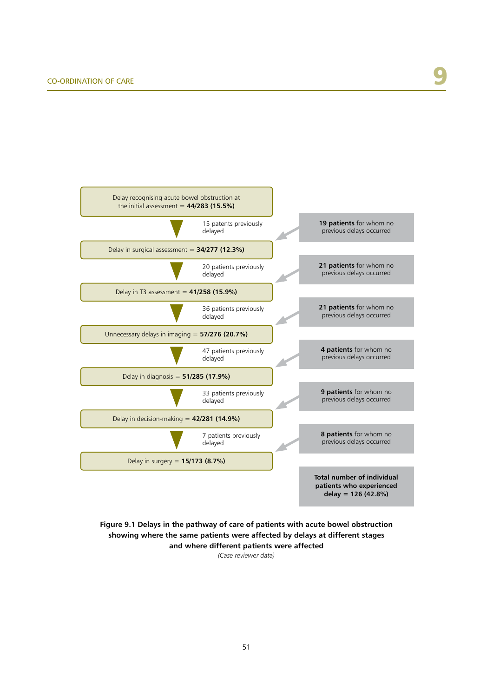

**Figure 9.1 Delays in the pathway of care of patients with acute bowel obstruction showing where the same patients were affected by delays at different stages and where different patients were affected** 

*(Case reviewer data)*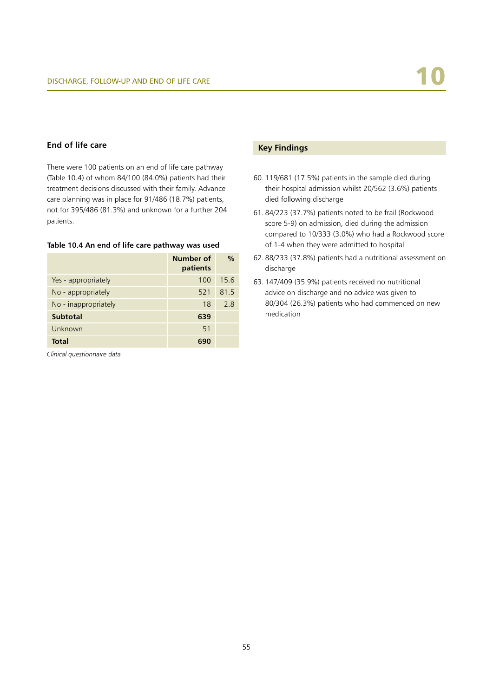#### **End of life care**

There were 100 patients on an end of life care pathway (Table 10.4) of whom 84/100 (84.0%) patients had their treatment decisions discussed with their family. Advance care planning was in place for 91/486 (18.7%) patients, not for 395/486 (81.3%) and unknown for a further 204 patients.

#### **Table 10.4 An end of life care pathway was used**

|                      | Number of<br>patients | $\frac{0}{0}$ |
|----------------------|-----------------------|---------------|
| Yes - appropriately  | 100                   | 15.6          |
| No - appropriately   | 521                   | 81.5          |
| No - inappropriately | 18                    | 2.8           |
| <b>Subtotal</b>      | 639                   |               |
| Unknown              | 51                    |               |
| <b>Total</b>         | 690                   |               |
|                      |                       |               |

*Clinical questionnaire data*

#### **Key Findings**

- 60. 119/681 (17.5%) patients in the sample died during their hospital admission whilst 20/562 (3.6%) patients died following discharge
- 61. 84/223 (37.7%) patients noted to be frail (Rockwood score 5-9) on admission, died during the admission compared to 10/333 (3.0%) who had a Rockwood score of 1-4 when they were admitted to hospital
- 62. 88/233 (37.8%) patients had a nutritional assessment on discharge
- 63. 147/409 (35.9%) patients received no nutritional advice on discharge and no advice was given to 80/304 (26.3%) patients who had commenced on new medication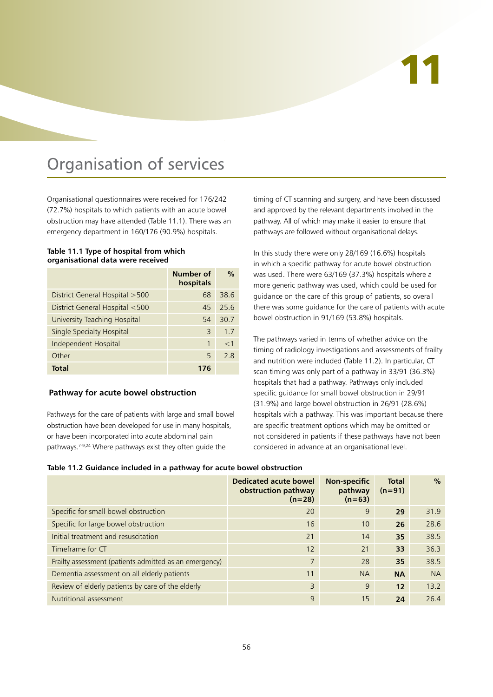# 11

## Organisation of services

Organisational questionnaires were received for 176/242 (72.7%) hospitals to which patients with an acute bowel obstruction may have attended (Table 11.1). There was an emergency department in 160/176 (90.9%) hospitals.

#### **Table 11.1 Type of hospital from which organisational data were received**

|                                 | Number of<br>hospitals | $\frac{0}{0}$ |
|---------------------------------|------------------------|---------------|
| District General Hospital > 500 | 68                     | 38.6          |
| District General Hospital <500  | 45                     | 25.6          |
| University Teaching Hospital    | 54                     | 30.7          |
| Single Specialty Hospital       | 3                      | 1.7           |
| Independent Hospital            | 1                      | $<$ 1         |
| Other                           | 5                      | 2.8           |
| Total                           | 176                    |               |

#### **Pathway for acute bowel obstruction**

Pathways for the care of patients with large and small bowel obstruction have been developed for use in many hospitals, or have been incorporated into acute abdominal pain pathways.7-9,24 Where pathways exist they often guide the

timing of CT scanning and surgery, and have been discussed and approved by the relevant departments involved in the pathway. All of which may make it easier to ensure that pathways are followed without organisational delays.

In this study there were only 28/169 (16.6%) hospitals in which a specific pathway for acute bowel obstruction was used. There were 63/169 (37.3%) hospitals where a more generic pathway was used, which could be used for guidance on the care of this group of patients, so overall there was some guidance for the care of patients with acute bowel obstruction in 91/169 (53.8%) hospitals.

The pathways varied in terms of whether advice on the timing of radiology investigations and assessments of frailty and nutrition were included (Table 11.2). In particular, CT scan timing was only part of a pathway in 33/91 (36.3%) hospitals that had a pathway. Pathways only included specific guidance for small bowel obstruction in 29/91 (31.9%) and large bowel obstruction in 26/91 (28.6%) hospitals with a pathway. This was important because there are specific treatment options which may be omitted or not considered in patients if these pathways have not been considered in advance at an organisational level.

|                                                        | Dedicated acute bowel<br>obstruction pathway<br>$(n=28)$ | <b>Non-specific</b><br>pathway<br>$(n=63)$ | <b>Total</b><br>$(n=91)$ | $\%$      |
|--------------------------------------------------------|----------------------------------------------------------|--------------------------------------------|--------------------------|-----------|
| Specific for small bowel obstruction                   | 20                                                       | 9                                          | 29                       | 31.9      |
| Specific for large bowel obstruction                   | 16                                                       | 10                                         | 26                       | 28.6      |
| Initial treatment and resuscitation                    | 21                                                       | 14                                         | 35                       | 38.5      |
| Timeframe for CT                                       | 12                                                       | 21                                         | 33                       | 36.3      |
| Frailty assessment (patients admitted as an emergency) | $\overline{7}$                                           | 28                                         | 35                       | 38.5      |
| Dementia assessment on all elderly patients            | 11                                                       | <b>NA</b>                                  | <b>NA</b>                | <b>NA</b> |
| Review of elderly patients by care of the elderly      | 3                                                        | 9                                          | 12                       | 13.2      |
| Nutritional assessment                                 | 9                                                        | 15                                         | 24                       | 26.4      |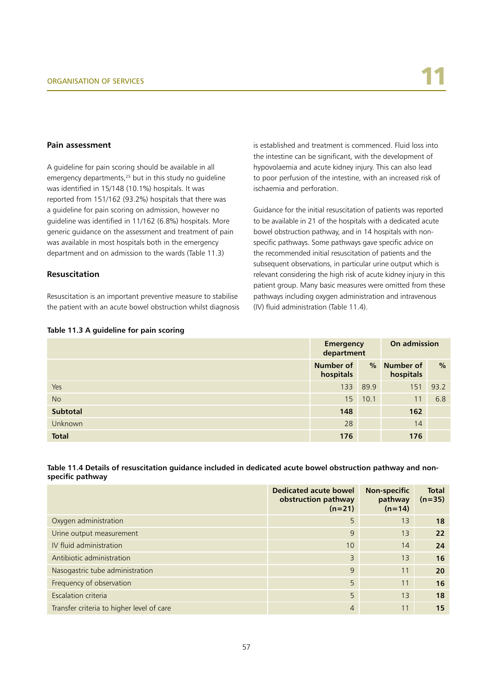#### **Pain assessment**

A guideline for pain scoring should be available in all emergency departments,<sup>25</sup> but in this study no quideline was identified in 15/148 (10.1%) hospitals. It was reported from 151/162 (93.2%) hospitals that there was a guideline for pain scoring on admission, however no guideline was identified in 11/162 (6.8%) hospitals. More generic guidance on the assessment and treatment of pain was available in most hospitals both in the emergency department and on admission to the wards (Table 11.3)

#### **Resuscitation**

Resuscitation is an important preventive measure to stabilise the patient with an acute bowel obstruction whilst diagnosis

#### is established and treatment is commenced. Fluid loss into the intestine can be significant, with the development of hypovolaemia and acute kidney injury. This can also lead to poor perfusion of the intestine, with an increased risk of ischaemia and perforation.

Guidance for the initial resuscitation of patients was reported to be available in 21 of the hospitals with a dedicated acute bowel obstruction pathway, and in 14 hospitals with nonspecific pathways. Some pathways gave specific advice on the recommended initial resuscitation of patients and the subsequent observations, in particular urine output which is relevant considering the high risk of acute kidney injury in this patient group. Many basic measures were omitted from these pathways including oxygen administration and intravenous (IV) fluid administration (Table 11.4).

#### **Table 11.3 A guideline for pain scoring**

|                | Emergency<br>department       |      | On admission           |      |
|----------------|-------------------------------|------|------------------------|------|
|                | <b>Number of</b><br>hospitals | $\%$ | Number of<br>hospitals | $\%$ |
| Yes            | 133                           | 89.9 | 151                    | 93.2 |
| <b>No</b>      | 15 <sup>2</sup>               | 10.1 | 11                     | 6.8  |
| Subtotal       | 148                           |      | 162                    |      |
| <b>Unknown</b> | 28                            |      | 14                     |      |
| <b>Total</b>   | 176                           |      | 176                    |      |

#### **Table 11.4 Details of resuscitation guidance included in dedicated acute bowel obstruction pathway and nonspecific pathway**

|                                           | Dedicated acute bowel<br>obstruction pathway<br>$(n=21)$ | <b>Non-specific</b><br>pathway<br>$(n=14)$ | <b>Total</b><br>$(n=35)$ |
|-------------------------------------------|----------------------------------------------------------|--------------------------------------------|--------------------------|
| Oxygen administration                     | 5                                                        | 13                                         | 18                       |
| Urine output measurement                  | 9                                                        | 13                                         | 22                       |
| IV fluid administration                   | 10                                                       | 14                                         | 24                       |
| Antibiotic administration                 | 3                                                        | 13                                         | 16                       |
| Nasogastric tube administration           | 9                                                        | 11                                         | 20                       |
| Frequency of observation                  | 5                                                        | 11                                         | 16                       |
| Escalation criteria                       | 5                                                        | 13                                         | 18                       |
| Transfer criteria to higher level of care | $\overline{4}$                                           | 11                                         | 15                       |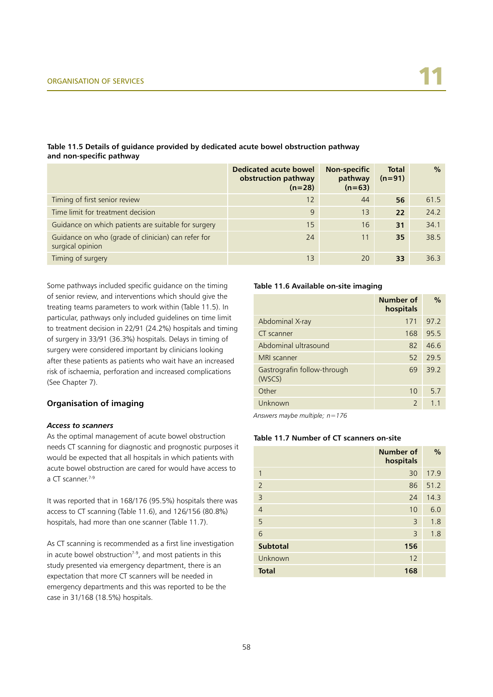#### **Table 11.5 Details of guidance provided by dedicated acute bowel obstruction pathway and non-specific pathway**

|                                                                        | <b>Dedicated acute bowel</b><br>obstruction pathway<br>$(n=28)$ | <b>Non-specific</b><br>pathway<br>$(n=63)$ | <b>Total</b><br>$(n=91)$ | $\%$ |
|------------------------------------------------------------------------|-----------------------------------------------------------------|--------------------------------------------|--------------------------|------|
| Timing of first senior review                                          | 12                                                              | 44                                         | 56                       | 61.5 |
| Time limit for treatment decision                                      | 9                                                               | 13                                         | 22                       | 24.2 |
| Guidance on which patients are suitable for surgery                    | 15                                                              | 16                                         | 31                       | 34.1 |
| Guidance on who (grade of clinician) can refer for<br>surgical opinion | 24                                                              | 11                                         | 35                       | 38.5 |
| Timing of surgery                                                      | 13                                                              | 20                                         | 33                       | 36.3 |

Some pathways included specific guidance on the timing of senior review, and interventions which should give the treating teams parameters to work within (Table 11.5). In particular, pathways only included guidelines on time limit to treatment decision in 22/91 (24.2%) hospitals and timing of surgery in 33/91 (36.3%) hospitals. Delays in timing of surgery were considered important by clinicians looking after these patients as patients who wait have an increased risk of ischaemia, perforation and increased complications (See Chapter 7).

#### **Organisation of imaging**

#### *Access to scanners*

As the optimal management of acute bowel obstruction needs CT scanning for diagnostic and prognostic purposes it would be expected that all hospitals in which patients with acute bowel obstruction are cared for would have access to a CT scanner.7-9

It was reported that in 168/176 (95.5%) hospitals there was access to CT scanning (Table 11.6), and 126/156 (80.8%) hospitals, had more than one scanner (Table 11.7).

As CT scanning is recommended as a first line investigation in acute bowel obstruction<sup> $7-9$ </sup>, and most patients in this study presented via emergency department, there is an expectation that more CT scanners will be needed in emergency departments and this was reported to be the case in 31/168 (18.5%) hospitals.

#### **Table 11.6 Available on-site imaging**

|                                       | Number of<br>hospitals | $\frac{0}{0}$  |
|---------------------------------------|------------------------|----------------|
| Abdominal X-ray                       | 171                    | 97.2           |
| CT scanner                            | 168                    | 95.5           |
| Abdominal ultrasound                  | 82                     | 46.6           |
| MRI scanner                           | 52                     | 29.5           |
| Gastrografin follow-through<br>(WSCS) | 69                     | 39.2           |
| Other                                 | 10                     | 5.7            |
| Unknown                               | $\mathcal{P}$          | 1 <sub>1</sub> |

*Answers maybe multiple; n=176*

#### **Table 11.7 Number of CT scanners on-site**

|                 | Number of<br>hospitals | $\frac{9}{6}$ |
|-----------------|------------------------|---------------|
| 1               | 30                     | 17.9          |
| $\overline{2}$  | 86                     | 51.2          |
| $\overline{3}$  | 24                     | 14.3          |
| $\overline{4}$  | 10                     | 6.0           |
| 5               | 3                      | 1.8           |
| 6               | 3                      | 1.8           |
| <b>Subtotal</b> | 156                    |               |
| Unknown         | 12                     |               |
| <b>Total</b>    | 168                    |               |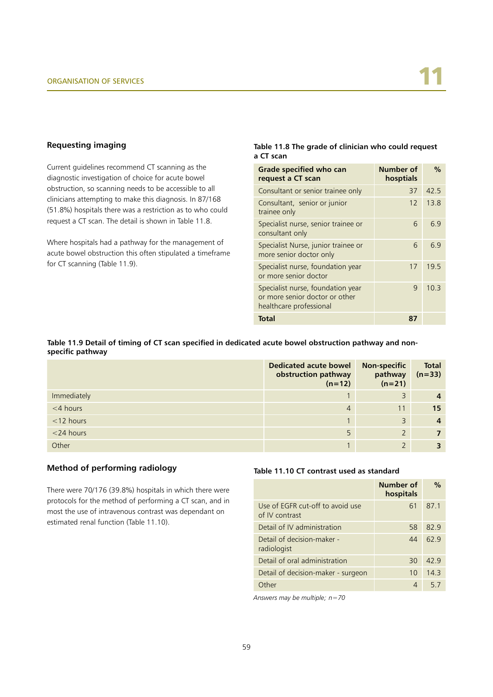#### **Requesting imaging**

Current guidelines recommend CT scanning as the diagnostic investigation of choice for acute bowel obstruction, so scanning needs to be accessible to all clinicians attempting to make this diagnosis. In 87/168 (51.8%) hospitals there was a restriction as to who could request a CT scan. The detail is shown in Table 11.8.

Where hospitals had a pathway for the management of acute bowel obstruction this often stipulated a timeframe for CT scanning (Table 11.9).

#### **Table 11.8 The grade of clinician who could request a CT scan**

| Grade specified who can<br>request a CT scan                                                   | Number of<br>hosptials | $\frac{0}{0}$ |
|------------------------------------------------------------------------------------------------|------------------------|---------------|
| Consultant or senior trainee only                                                              | 37                     | 42.5          |
| Consultant, senior or junior<br>trainee only                                                   | 12                     | 13.8          |
| Specialist nurse, senior trainee or<br>consultant only                                         | 6                      | 69            |
| Specialist Nurse, junior trainee or<br>more senior doctor only                                 | 6                      | 69            |
| Specialist nurse, foundation year<br>or more senior doctor                                     | 17                     | 19.5          |
| Specialist nurse, foundation year<br>or more senior doctor or other<br>healthcare professional | 9                      | 10.3          |
| <b>Total</b>                                                                                   | 87                     |               |

#### **Table 11.9 Detail of timing of CT scan specified in dedicated acute bowel obstruction pathway and nonspecific pathway**

|              | <b>Dedicated acute bowel</b><br>obstruction pathway<br>$(n=12)$ | <b>Non-specific</b><br>pathway<br>$(n=21)$ | <b>Total</b><br>$(n=33)$ |
|--------------|-----------------------------------------------------------------|--------------------------------------------|--------------------------|
| Immediately  |                                                                 | 3                                          | $\overline{4}$           |
| $<$ 4 hours  | $\overline{4}$                                                  | 11                                         | 15                       |
| $<$ 12 hours |                                                                 | $\overline{3}$                             | $\overline{4}$           |
| $<$ 24 hours | 5                                                               | $\overline{2}$                             |                          |
| Other        |                                                                 |                                            |                          |

#### **Method of performing radiology**

There were 70/176 (39.8%) hospitals in which there were protocols for the method of performing a CT scan, and in most the use of intravenous contrast was dependant on estimated renal function (Table 11.10).

#### **Table 11.10 CT contrast used as standard**

|                                                    | Number of<br>hospitals | $\frac{0}{0}$ |
|----------------------------------------------------|------------------------|---------------|
| Use of EGFR cut-off to avoid use<br>of IV contrast | 61                     | 87.1          |
| Detail of IV administration                        | 58                     | 82.9          |
| Detail of decision-maker -<br>radiologist          | 44                     | 62.9          |
| Detail of oral administration                      | 30                     | 42.9          |
| Detail of decision-maker - surgeon                 | 10                     | 14.3          |
| )ther                                              | Δ                      | 5.7           |

*Answers may be multiple; n=70*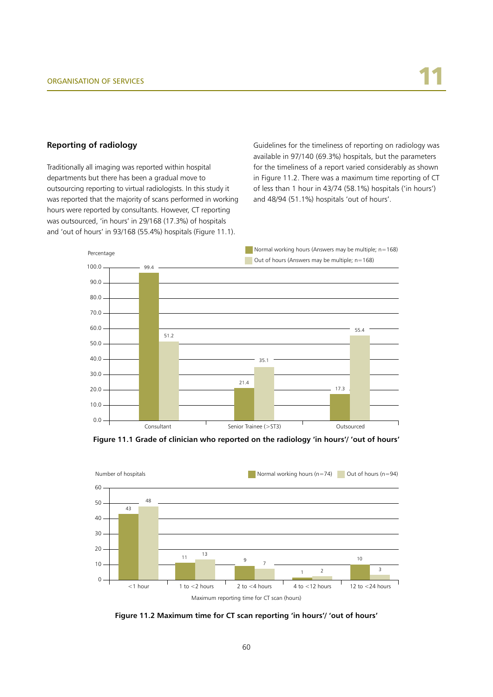#### **Reporting of radiology**

Traditionally all imaging was reported within hospital departments but there has been a gradual move to outsourcing reporting to virtual radiologists. In this study it was reported that the majority of scans performed in working hours were reported by consultants. However, CT reporting was outsourced, 'in hours' in 29/168 (17.3%) of hospitals and 'out of hours' in 93/168 (55.4%) hospitals (Figure 11.1).

Guidelines for the timeliness of reporting on radiology was available in 97/140 (69.3%) hospitals, but the parameters for the timeliness of a report varied considerably as shown in Figure 11.2. There was a maximum time reporting of CT of less than 1 hour in 43/74 (58.1%) hospitals ('in hours') and 48/94 (51.1%) hospitals 'out of hours'.



**Figure 11.1 Grade of clinician who reported on the radiology 'in hours'/ 'out of hours'**



**Figure 11.2 Maximum time for CT scan reporting 'in hours'/ 'out of hours'**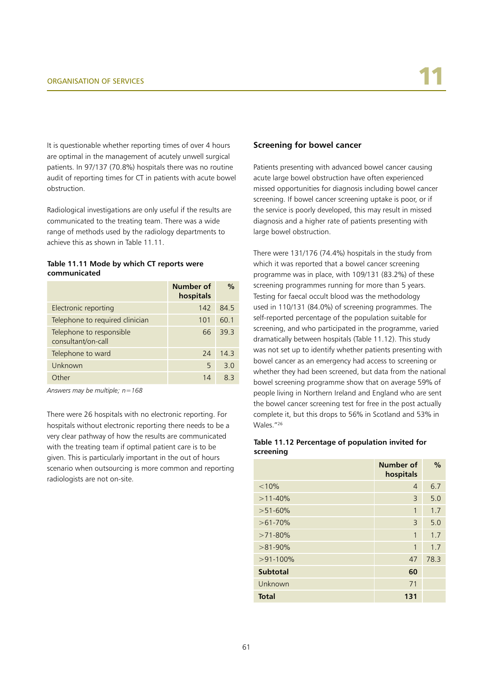It is questionable whether reporting times of over 4 hours are optimal in the management of acutely unwell surgical patients. In 97/137 (70.8%) hospitals there was no routine audit of reporting times for CT in patients with acute bowel obstruction.

Radiological investigations are only useful if the results are communicated to the treating team. There was a wide range of methods used by the radiology departments to achieve this as shown in Table 11.11.

#### **Table 11.11 Mode by which CT reports were communicated**

|                                                | Number of<br>hospitals | $\frac{0}{0}$ |
|------------------------------------------------|------------------------|---------------|
| Electronic reporting                           | 142                    | 84.5          |
| Telephone to required clinician                | 101                    | 60.1          |
| Telephone to responsible<br>consultant/on-call | 66                     | 393           |
| Telephone to ward                              | 24                     | 14.3          |
| Unknown                                        | 5                      | 3.0           |
| Other                                          | 14                     | 요 3           |

*Answers may be multiple; n=168*

There were 26 hospitals with no electronic reporting. For hospitals without electronic reporting there needs to be a very clear pathway of how the results are communicated with the treating team if optimal patient care is to be given. This is particularly important in the out of hours scenario when outsourcing is more common and reporting radiologists are not on-site.

#### **Screening for bowel cancer**

Patients presenting with advanced bowel cancer causing acute large bowel obstruction have often experienced missed opportunities for diagnosis including bowel cancer screening. If bowel cancer screening uptake is poor, or if the service is poorly developed, this may result in missed diagnosis and a higher rate of patients presenting with large bowel obstruction.

There were 131/176 (74.4%) hospitals in the study from which it was reported that a bowel cancer screening programme was in place, with 109/131 (83.2%) of these screening programmes running for more than 5 years. Testing for faecal occult blood was the methodology used in 110/131 (84.0%) of screening programmes. The self-reported percentage of the population suitable for screening, and who participated in the programme, varied dramatically between hospitals (Table 11.12). This study was not set up to identify whether patients presenting with bowel cancer as an emergency had access to screening or whether they had been screened, but data from the national bowel screening programme show that on average 59% of people living in Northern Ireland and England who are sent the bowel cancer screening test for free in the post actually complete it, but this drops to 56% in Scotland and 53% in Wales."26

#### **Table 11.12 Percentage of population invited for screening**

|                 | <b>Number of</b><br>hospitals | $\%$ |
|-----------------|-------------------------------|------|
| < 10%           | 4                             | 6.7  |
| $>11-40%$       | 3                             | 5.0  |
| $>51-60%$       | 1                             | 1.7  |
| $>61-70%$       | 3                             | 5.0  |
| $>71-80%$       | 1                             | 1.7  |
| $>81-90\%$      | 1                             | 1.7  |
| $>91-100\%$     | 47                            | 78.3 |
| <b>Subtotal</b> | 60                            |      |
| Unknown         | 71                            |      |
| <b>Total</b>    | 131                           |      |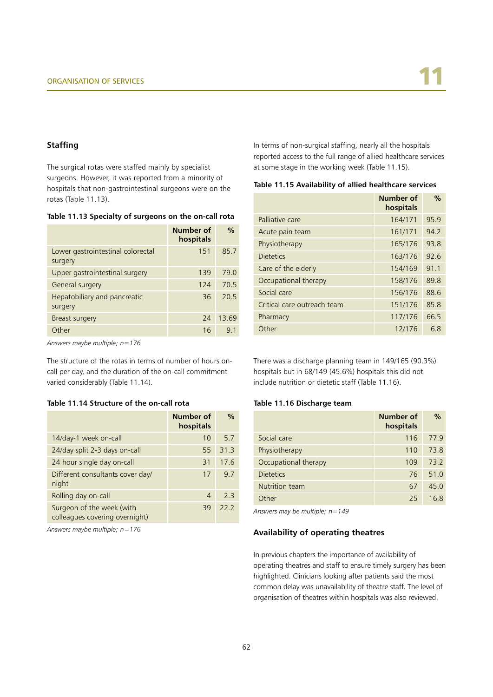#### **Staffing**

The surgical rotas were staffed mainly by specialist surgeons. However, it was reported from a minority of hospitals that non-gastrointestinal surgeons were on the rotas (Table 11.13).

**Table 11.13 Specialty of surgeons on the on-call rota**

|                                              | Number of<br>hospitals | $\frac{0}{0}$ |
|----------------------------------------------|------------------------|---------------|
| Lower gastrointestinal colorectal<br>surgery | 151                    | 85.7          |
| Upper gastrointestinal surgery               | 139                    | 79.0          |
| General surgery                              | 124                    | 70.5          |
| Hepatobiliary and pancreatic<br>surgery      | 36                     | 20.5          |
| Breast surgery                               | 24                     | 13.69         |
| Other                                        | 16                     | 91            |

*Answers maybe multiple; n=176*

The structure of the rotas in terms of number of hours oncall per day, and the duration of the on-call commitment varied considerably (Table 11.14).

#### **Table 11.14 Structure of the on-call rota**

|                                                             | Number of<br>hospitals | $\frac{0}{0}$ |
|-------------------------------------------------------------|------------------------|---------------|
| 14/day-1 week on-call                                       | 10                     | 5.7           |
| 24/day split 2-3 days on-call                               | 55                     | 31.3          |
| 24 hour single day on-call                                  | 31                     | 17.6          |
| Different consultants cover day/<br>night                   | 17                     | 9.7           |
| Rolling day on-call                                         | 4                      | 23            |
| Surgeon of the week (with<br>colleagues covering overnight) | 39                     | 222           |

*Answers maybe multiple; n=176*

In terms of non-surgical staffing, nearly all the hospitals reported access to the full range of allied healthcare services at some stage in the working week (Table 11.15).

| Table 11.15 Availability of allied healthcare services |  |  |
|--------------------------------------------------------|--|--|
|--------------------------------------------------------|--|--|

|                             | Number of<br>hospitals | $\frac{0}{0}$ |
|-----------------------------|------------------------|---------------|
| Palliative care             | 164/171                | 95.9          |
| Acute pain team             | 161/171                | 94.2          |
| Physiotherapy               | 165/176                | 93.8          |
| <b>Dietetics</b>            | 163/176                | 92.6          |
| Care of the elderly         | 154/169                | 91.1          |
| Occupational therapy        | 158/176                | 89.8          |
| Social care                 | 156/176                | 88.6          |
| Critical care outreach team | 151/176                | 85.8          |
| Pharmacy                    | 117/176                | 66.5          |
| Other                       | 12/176                 | 6.8           |

There was a discharge planning team in 149/165 (90.3%) hospitals but in 68/149 (45.6%) hospitals this did not include nutrition or dietetic staff (Table 11.16).

#### **Table 11.16 Discharge team**

|                      | Number of<br>hospitals | $\%$ |
|----------------------|------------------------|------|
| Social care          | 116                    | 77.9 |
| Physiotherapy        | 110                    | 73.8 |
| Occupational therapy | 109                    | 73.2 |
| <b>Dietetics</b>     | 76                     | 51.0 |
| Nutrition team       | 67                     | 45.0 |
| Other                | 25                     | 16 ጸ |

*Answers may be multiple; n=149*

#### **Availability of operating theatres**

In previous chapters the importance of availability of operating theatres and staff to ensure timely surgery has been highlighted. Clinicians looking after patients said the most common delay was unavailability of theatre staff. The level of organisation of theatres within hospitals was also reviewed.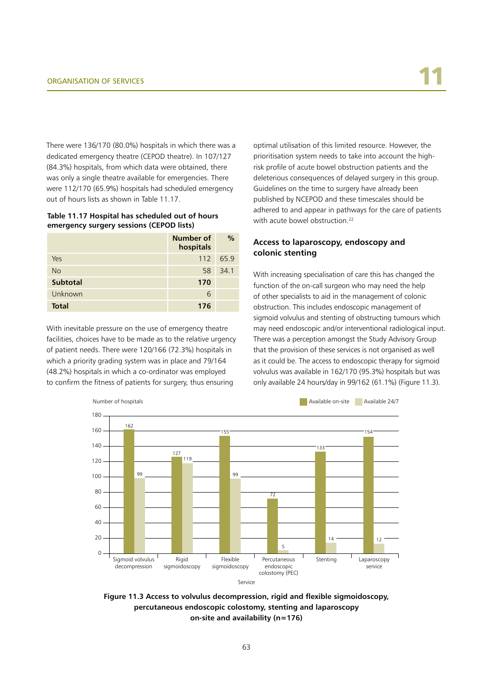There were 136/170 (80.0%) hospitals in which there was a dedicated emergency theatre (CEPOD theatre). In 107/127 (84.3%) hospitals, from which data were obtained, there was only a single theatre available for emergencies. There were 112/170 (65.9%) hospitals had scheduled emergency out of hours lists as shown in Table 11.17.

**Table 11.17 Hospital has scheduled out of hours emergency surgery sessions (CEPOD lists)**

|                 | Number of<br>hospitals | $\frac{0}{0}$ |
|-----------------|------------------------|---------------|
| Yes             |                        | 112 65.9      |
| <b>No</b>       | 58                     | 34.1          |
| <b>Subtotal</b> | 170                    |               |
| Unknown         | 6                      |               |
| <b>Total</b>    | 176                    |               |

With inevitable pressure on the use of emergency theatre facilities, choices have to be made as to the relative urgency of patient needs. There were 120/166 (72.3%) hospitals in which a priority grading system was in place and 79/164 (48.2%) hospitals in which a co-ordinator was employed to confirm the fitness of patients for surgery, thus ensuring

optimal utilisation of this limited resource. However, the prioritisation system needs to take into account the highrisk profile of acute bowel obstruction patients and the deleterious consequences of delayed surgery in this group. Guidelines on the time to surgery have already been published by NCEPOD and these timescales should be adhered to and appear in pathways for the care of patients with acute bowel obstruction.<sup>22</sup>

#### **Access to laparoscopy, endoscopy and colonic stenting**

With increasing specialisation of care this has changed the function of the on-call surgeon who may need the help of other specialists to aid in the management of colonic obstruction. This includes endoscopic management of sigmoid volvulus and stenting of obstructing tumours which may need endoscopic and/or interventional radiological input. There was a perception amongst the Study Advisory Group that the provision of these services is not organised as well as it could be. The access to endoscopic therapy for sigmoid volvulus was available in 162/170 (95.3%) hospitals but was only available 24 hours/day in 99/162 (61.1%) (Figure 11.3).



**Figure 11.3 Access to volvulus decompression, rigid and flexible sigmoidoscopy, percutaneous endoscopic colostomy, stenting and laparoscopy on-site and availability (n=176)**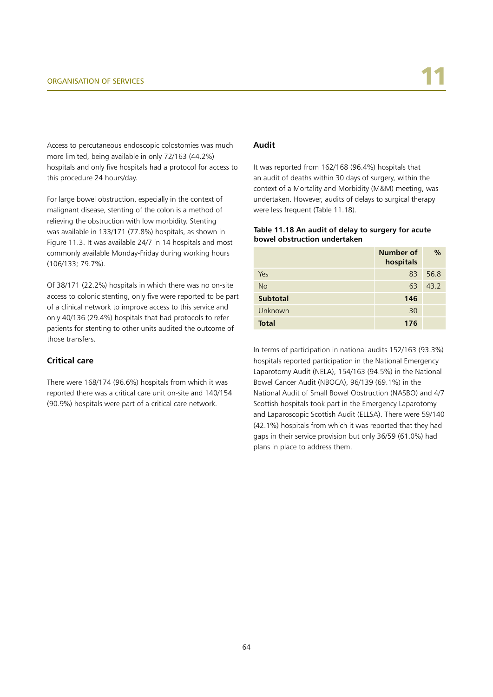Access to percutaneous endoscopic colostomies was much more limited, being available in only 72/163 (44.2%) hospitals and only five hospitals had a protocol for access to this procedure 24 hours/day.

For large bowel obstruction, especially in the context of malignant disease, stenting of the colon is a method of relieving the obstruction with low morbidity. Stenting was available in 133/171 (77.8%) hospitals, as shown in Figure 11.3. It was available 24/7 in 14 hospitals and most commonly available Monday-Friday during working hours (106/133; 79.7%).

Of 38/171 (22.2%) hospitals in which there was no on-site access to colonic stenting, only five were reported to be part of a clinical network to improve access to this service and only 40/136 (29.4%) hospitals that had protocols to refer patients for stenting to other units audited the outcome of those transfers.

#### **Critical care**

There were 168/174 (96.6%) hospitals from which it was reported there was a critical care unit on-site and 140/154 (90.9%) hospitals were part of a critical care network.

#### **Audit**

It was reported from 162/168 (96.4%) hospitals that an audit of deaths within 30 days of surgery, within the context of a Mortality and Morbidity (M&M) meeting, was undertaken. However, audits of delays to surgical therapy were less frequent (Table 11.18).

#### **Table 11.18 An audit of delay to surgery for acute bowel obstruction undertaken**

|                 | Number of<br>hospitals | $\frac{0}{0}$ |
|-----------------|------------------------|---------------|
| Yes             | 83                     | 56.8          |
| <b>No</b>       | 63                     | 43.2          |
| <b>Subtotal</b> | 146                    |               |
| Unknown         | 30                     |               |
| <b>Total</b>    | 176                    |               |

In terms of participation in national audits 152/163 (93.3%) hospitals reported participation in the National Emergency Laparotomy Audit (NELA), 154/163 (94.5%) in the National Bowel Cancer Audit (NBOCA), 96/139 (69.1%) in the National Audit of Small Bowel Obstruction (NASBO) and 4/7 Scottish hospitals took part in the Emergency Laparotomy and Laparoscopic Scottish Audit (ELLSA). There were 59/140 (42.1%) hospitals from which it was reported that they had gaps in their service provision but only 36/59 (61.0%) had plans in place to address them.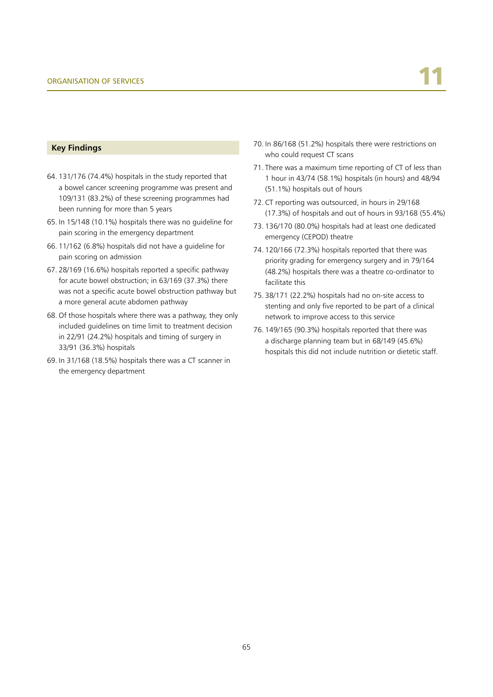#### **Key Findings**

- 64. 131/176 (74.4%) hospitals in the study reported that a bowel cancer screening programme was present and 109/131 (83.2%) of these screening programmes had been running for more than 5 years
- 65. In 15/148 (10.1%) hospitals there was no guideline for pain scoring in the emergency department
- 66. 11/162 (6.8%) hospitals did not have a guideline for pain scoring on admission
- 67. 28/169 (16.6%) hospitals reported a specific pathway for acute bowel obstruction; in 63/169 (37.3%) there was not a specific acute bowel obstruction pathway but a more general acute abdomen pathway
- 68. Of those hospitals where there was a pathway, they only included guidelines on time limit to treatment decision in 22/91 (24.2%) hospitals and timing of surgery in 33/91 (36.3%) hospitals
- 69. In 31/168 (18.5%) hospitals there was a CT scanner in the emergency department
- 70. In 86/168 (51.2%) hospitals there were restrictions on who could request CT scans
- 71. There was a maximum time reporting of CT of less than 1 hour in 43/74 (58.1%) hospitals (in hours) and 48/94 (51.1%) hospitals out of hours
- 72. CT reporting was outsourced, in hours in 29/168 (17.3%) of hospitals and out of hours in 93/168 (55.4%)
- 73. 136/170 (80.0%) hospitals had at least one dedicated emergency (CEPOD) theatre
- 74. 120/166 (72.3%) hospitals reported that there was priority grading for emergency surgery and in 79/164 (48.2%) hospitals there was a theatre co-ordinator to facilitate this
- 75. 38/171 (22.2%) hospitals had no on-site access to stenting and only five reported to be part of a clinical network to improve access to this service
- 76. 149/165 (90.3%) hospitals reported that there was a discharge planning team but in 68/149 (45.6%) hospitals this did not include nutrition or dietetic staff.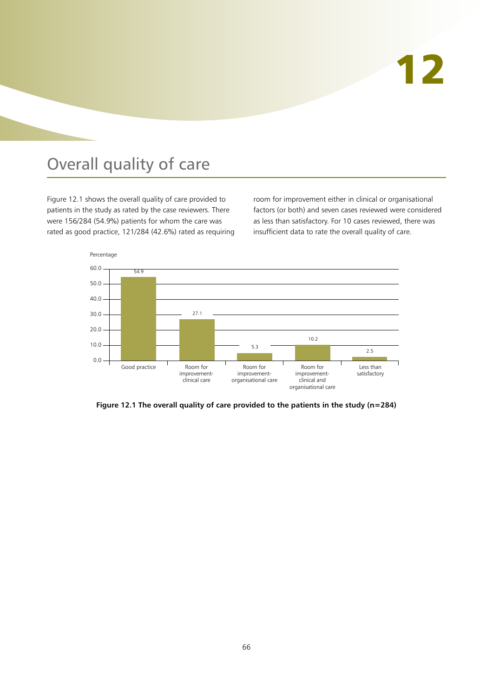# 12

## Overall quality of care

Figure 12.1 shows the overall quality of care provided to patients in the study as rated by the case reviewers. There were 156/284 (54.9%) patients for whom the care was rated as good practice, 121/284 (42.6%) rated as requiring room for improvement either in clinical or organisational factors (or both) and seven cases reviewed were considered as less than satisfactory. For 10 cases reviewed, there was insufficient data to rate the overall quality of care.



**Figure 12.1 The overall quality of care provided to the patients in the study (n=284)**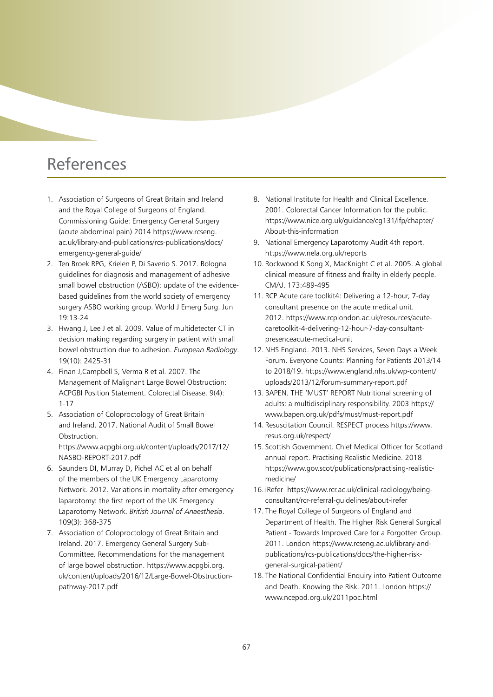## References

- 1. Association of Surgeons of Great Britain and Ireland and the Royal College of Surgeons of England. Commissioning Guide: Emergency General Surgery (acute abdominal pain) 2014 https://www.rcseng. ac.uk/library-and-publications/rcs-publications/docs/ emergency-general-guide/
- 2. Ten Broek RPG, Krielen P, Di Saverio S. 2017. Bologna guidelines for diagnosis and management of adhesive small bowel obstruction (ASBO): update of the evidencebased guidelines from the world society of emergency surgery ASBO working group. World J Emerg Surg. Jun 19:13-24
- 3. Hwang J, Lee J et al. 2009. Value of multidetecter CT in decision making regarding surgery in patient with small bowel obstruction due to adhesion. *European Radiology*. 19(10): 2425-31
- 4. Finan J,Campbell S, Verma R et al. 2007. The Management of Malignant Large Bowel Obstruction: ACPGBI Position Statement. Colorectal Disease. 9(4): 1-17
- 5. Association of Coloproctology of Great Britain and Ireland. 2017. National Audit of Small Bowel **Obstruction** https://www.acpgbi.org.uk/content/uploads/2017/12/ NASBO-REPORT-2017.pdf
- 6. Saunders DI, Murray D, Pichel AC et al on behalf of the members of the UK Emergency Laparotomy Network. 2012. Variations in mortality after emergency laparotomy: the first report of the UK Emergency Laparotomy Network. *British Journal of Anaesthesia*. 109(3): 368-375
- 7. Association of Coloproctology of Great Britain and Ireland. 2017. Emergency General Surgery Sub-Committee. Recommendations for the management of large bowel obstruction. https://www.acpgbi.org. uk/content/uploads/2016/12/Large-Bowel-Obstructionpathway-2017.pdf
- 8. National Institute for Health and Clinical Excellence. 2001. Colorectal Cancer Information for the public. https://www.nice.org.uk/guidance/cg131/ifp/chapter/ About-this-information
- 9. National Emergency Laparotomy Audit 4th report. https://www.nela.org.uk/reports
- 10. Rockwood K Song X, MacKnight C et al. 2005. A global clinical measure of fitness and frailty in elderly people. CMAJ. 173:489-495
- 11. RCP Acute care toolkit4: Delivering a 12-hour, 7-day consultant presence on the acute medical unit. 2012. https://www.rcplondon.ac.uk/resources/acutecaretoolkit-4-delivering-12-hour-7-day-consultantpresenceacute-medical-unit
- 12. NHS England. 2013. NHS Services, Seven Days a Week Forum. Everyone Counts: Planning for Patients 2013/14 to 2018/19. https://www.england.nhs.uk/wp-content/ uploads/2013/12/forum-summary-report.pdf
- 13. BAPEN. THE 'MUST' REPORT Nutritional screening of adults: a multidisciplinary responsibility. 2003 https:// www.bapen.org.uk/pdfs/must/must-report.pdf
- 14. Resuscitation Council. RESPECT process https://www. resus.org.uk/respect/
- 15. Scottish Government. Chief Medical Officer for Scotland annual report. Practising Realistic Medicine. 2018 https://www.gov.scot/publications/practising-realisticmedicine/
- 16. iRefer https://www.rcr.ac.uk/clinical-radiology/beingconsultant/rcr-referral-guidelines/about-irefer
- 17. The Royal College of Surgeons of England and Department of Health. The Higher Risk General Surgical Patient - Towards Improved Care for a Forgotten Group. 2011. London https://www.rcseng.ac.uk/library-andpublications/rcs-publications/docs/the-higher-riskgeneral-surgical-patient/
- 18. The National Confidential Enquiry into Patient Outcome and Death. Knowing the Risk. 2011. London https:// www.ncepod.org.uk/2011poc.html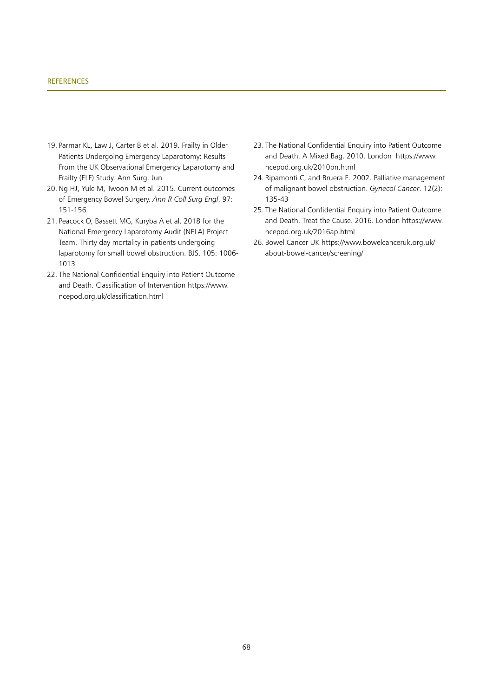#### **REFERENCES**

- 19. Parmar KL, Law J, Carter B et al. 2019. Frailty in Older Patients Undergoing Emergency Laparotomy: Results From the UK Observational Emergency Laparotomy and Frailty (ELF) Study. Ann Surg. Jun
- 20. Ng HJ, Yule M, Twoon M et al. 2015. Current outcomes of Emergency Bowel Surgery. *Ann R Coll Surg Engl*. 97: 151-156
- 21. Peacock O, Bassett MG, Kuryba A et al. 2018 for the National Emergency Laparotomy Audit (NELA) Project Team. Thirty day mortality in patients undergoing laparotomy for small bowel obstruction. BJS. 105: 1006- 1013
- 22. The National Confidential Enquiry into Patient Outcome and Death. Classification of Intervention https://www. ncepod.org.uk/classification.html
- 23. The National Confidential Enquiry into Patient Outcome and Death. A Mixed Bag. 2010. London https://www. ncepod.org.uk/2010pn.html
- 24. Ripamonti C, and Bruera E. 2002. Palliative management of malignant bowel obstruction. *Gynecol Cancer*. 12(2): 135-43
- 25. The National Confidential Enquiry into Patient Outcome and Death. Treat the Cause. 2016. London https://www. ncepod.org.uk/2016ap.html
- 26. Bowel Cancer UK https://www.bowelcanceruk.org.uk/ about-bowel-cancer/screening/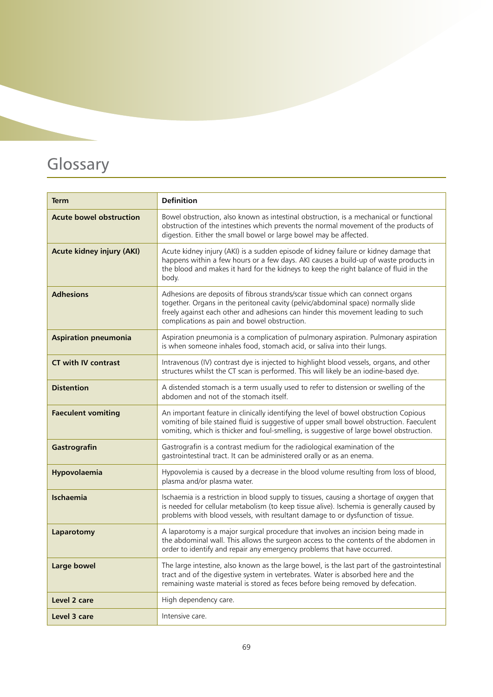## Glossary

| <b>Term</b>                      | <b>Definition</b>                                                                                                                                                                                                                                                                                       |
|----------------------------------|---------------------------------------------------------------------------------------------------------------------------------------------------------------------------------------------------------------------------------------------------------------------------------------------------------|
| <b>Acute bowel obstruction</b>   | Bowel obstruction, also known as intestinal obstruction, is a mechanical or functional<br>obstruction of the intestines which prevents the normal movement of the products of<br>digestion. Either the small bowel or large bowel may be affected.                                                      |
| <b>Acute kidney injury (AKI)</b> | Acute kidney injury (AKI) is a sudden episode of kidney failure or kidney damage that<br>happens within a few hours or a few days. AKI causes a build-up of waste products in<br>the blood and makes it hard for the kidneys to keep the right balance of fluid in the<br>body.                         |
| <b>Adhesions</b>                 | Adhesions are deposits of fibrous strands/scar tissue which can connect organs<br>together. Organs in the peritoneal cavity (pelvic/abdominal space) normally slide<br>freely against each other and adhesions can hinder this movement leading to such<br>complications as pain and bowel obstruction. |
| <b>Aspiration pneumonia</b>      | Aspiration pneumonia is a complication of pulmonary aspiration. Pulmonary aspiration<br>is when someone inhales food, stomach acid, or saliva into their lungs.                                                                                                                                         |
| <b>CT with IV contrast</b>       | Intravenous (IV) contrast dye is injected to highlight blood vessels, organs, and other<br>structures whilst the CT scan is performed. This will likely be an iodine-based dye.                                                                                                                         |
| <b>Distention</b>                | A distended stomach is a term usually used to refer to distension or swelling of the<br>abdomen and not of the stomach itself.                                                                                                                                                                          |
| <b>Faeculent vomiting</b>        | An important feature in clinically identifying the level of bowel obstruction Copious<br>vomiting of bile stained fluid is suggestive of upper small bowel obstruction. Faeculent<br>vomiting, which is thicker and foul-smelling, is suggestive of large bowel obstruction.                            |
| Gastrografin                     | Gastrografin is a contrast medium for the radiological examination of the<br>gastrointestinal tract. It can be administered orally or as an enema.                                                                                                                                                      |
| Hypovolaemia                     | Hypovolemia is caused by a decrease in the blood volume resulting from loss of blood,<br>plasma and/or plasma water.                                                                                                                                                                                    |
| <b>Ischaemia</b>                 | Ischaemia is a restriction in blood supply to tissues, causing a shortage of oxygen that<br>is needed for cellular metabolism (to keep tissue alive). Ischemia is generally caused by<br>problems with blood vessels, with resultant damage to or dysfunction of tissue.                                |
| Laparotomy                       | A laparotomy is a major surgical procedure that involves an incision being made in<br>the abdominal wall. This allows the surgeon access to the contents of the abdomen in<br>order to identify and repair any emergency problems that have occurred.                                                   |
| Large bowel                      | The large intestine, also known as the large bowel, is the last part of the gastrointestinal<br>tract and of the digestive system in vertebrates. Water is absorbed here and the<br>remaining waste material is stored as feces before being removed by defecation.                                     |
| Level 2 care                     | High dependency care.                                                                                                                                                                                                                                                                                   |
| Level 3 care                     | Intensive care.                                                                                                                                                                                                                                                                                         |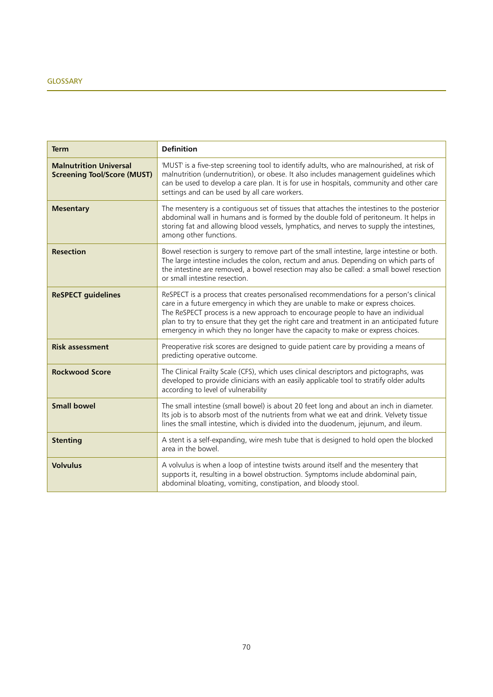| <b>Term</b>                                                         | <b>Definition</b>                                                                                                                                                                                                                                                                                                                                                                                                                            |
|---------------------------------------------------------------------|----------------------------------------------------------------------------------------------------------------------------------------------------------------------------------------------------------------------------------------------------------------------------------------------------------------------------------------------------------------------------------------------------------------------------------------------|
| <b>Malnutrition Universal</b><br><b>Screening Tool/Score (MUST)</b> | 'MUST' is a five-step screening tool to identify adults, who are malnourished, at risk of<br>malnutrition (undernutrition), or obese. It also includes management guidelines which<br>can be used to develop a care plan. It is for use in hospitals, community and other care<br>settings and can be used by all care workers.                                                                                                              |
| <b>Mesentary</b>                                                    | The mesentery is a contiguous set of tissues that attaches the intestines to the posterior<br>abdominal wall in humans and is formed by the double fold of peritoneum. It helps in<br>storing fat and allowing blood vessels, lymphatics, and nerves to supply the intestines,<br>among other functions.                                                                                                                                     |
| <b>Resection</b>                                                    | Bowel resection is surgery to remove part of the small intestine, large intestine or both.<br>The large intestine includes the colon, rectum and anus. Depending on which parts of<br>the intestine are removed, a bowel resection may also be called: a small bowel resection<br>or small intestine resection.                                                                                                                              |
| <b>ReSPECT guidelines</b>                                           | ReSPECT is a process that creates personalised recommendations for a person's clinical<br>care in a future emergency in which they are unable to make or express choices.<br>The ReSPECT process is a new approach to encourage people to have an individual<br>plan to try to ensure that they get the right care and treatment in an anticipated future<br>emergency in which they no longer have the capacity to make or express choices. |
| <b>Risk assessment</b>                                              | Preoperative risk scores are designed to guide patient care by providing a means of<br>predicting operative outcome.                                                                                                                                                                                                                                                                                                                         |
| <b>Rockwood Score</b>                                               | The Clinical Frailty Scale (CFS), which uses clinical descriptors and pictographs, was<br>developed to provide clinicians with an easily applicable tool to stratify older adults<br>according to level of vulnerability                                                                                                                                                                                                                     |
| <b>Small bowel</b>                                                  | The small intestine (small bowel) is about 20 feet long and about an inch in diameter.<br>Its job is to absorb most of the nutrients from what we eat and drink. Velvety tissue<br>lines the small intestine, which is divided into the duodenum, jejunum, and ileum.                                                                                                                                                                        |
| <b>Stenting</b>                                                     | A stent is a self-expanding, wire mesh tube that is designed to hold open the blocked<br>area in the bowel.                                                                                                                                                                                                                                                                                                                                  |
| <b>Volvulus</b>                                                     | A volvulus is when a loop of intestine twists around itself and the mesentery that<br>supports it, resulting in a bowel obstruction. Symptoms include abdominal pain,<br>abdominal bloating, vomiting, constipation, and bloody stool.                                                                                                                                                                                                       |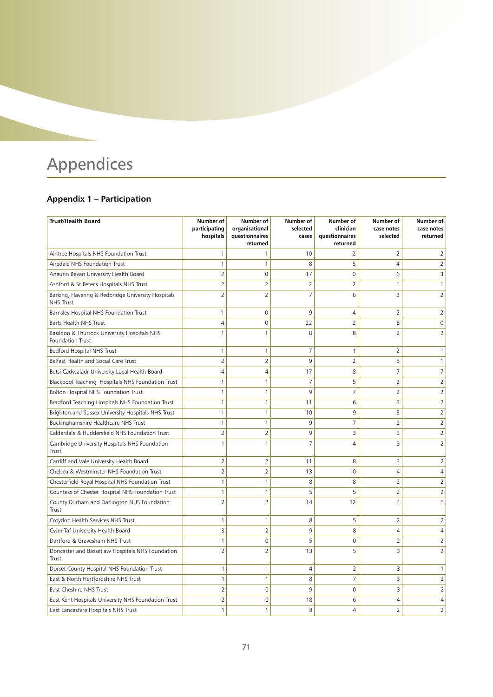## Appendices

### **Appendix 1 – Participation**

| <b>Trust/Health Board</b>                                              | Number of<br>participating<br>hospitals | Number of<br>organisational<br>questionnaires<br>returned | Number of<br>selected<br>cases | Number of<br>clinician<br>questionnaires<br>returned | Number of<br>case notes<br>selected | Number of<br>case notes<br>returned |
|------------------------------------------------------------------------|-----------------------------------------|-----------------------------------------------------------|--------------------------------|------------------------------------------------------|-------------------------------------|-------------------------------------|
| Aintree Hospitals NHS Foundation Trust                                 | $\mathbf{1}$                            | 1                                                         | 10                             | $\overline{2}$                                       | 2                                   | 2                                   |
| Airedale NHS Foundation Trust                                          | $\mathbf{1}$                            | 1                                                         | 8                              | 5                                                    | 4                                   | $\overline{2}$                      |
| Aneurin Bevan University Health Board                                  | $\overline{2}$                          | 0                                                         | 17                             | $\mathbf 0$                                          | 6                                   | 3                                   |
| Ashford & St Peter's Hospitals NHS Trust                               | $\overline{2}$                          | $\overline{2}$                                            | $\overline{2}$                 | $\overline{2}$                                       | 1                                   | 1                                   |
| Barking, Havering & Redbridge University Hospitals<br><b>NHS Trust</b> | $\overline{2}$                          | $\overline{2}$                                            | $\overline{7}$                 | 6                                                    | 3                                   | $\overline{2}$                      |
| Barnsley Hospital NHS Foundation Trust                                 | $\mathbf{1}$                            | $\mathbf 0$                                               | 9                              | 4                                                    | $\overline{2}$                      | $\overline{2}$                      |
| Barts Health NHS Trust                                                 | 4                                       | 0                                                         | 22                             | $\overline{2}$                                       | 8                                   | 0                                   |
| Basildon & Thurrock University Hospitals NHS<br>Foundation Trust       | $\mathbf{1}$                            | 1                                                         | 8                              | 8                                                    | $\overline{2}$                      | 2                                   |
| Bedford Hospital NHS Trust                                             | $\mathbf{1}$                            | $\mathbf{1}$                                              | $\overline{7}$                 | $\mathbf{1}$                                         | 2                                   | 1                                   |
| Belfast Health and Social Care Trust                                   | $\overline{2}$                          | $\overline{2}$                                            | 9                              | $\overline{2}$                                       | 5                                   | 1                                   |
| Betsi Cadwaladr University Local Health Board                          | 4                                       | 4                                                         | 17                             | 8                                                    | $\overline{7}$                      | 7                                   |
| Blackpool Teaching Hospitals NHS Foundation Trust                      | $\mathbf{1}$                            | 1                                                         | $\overline{7}$                 | 5                                                    | $\overline{2}$                      | $\overline{2}$                      |
| Bolton Hospital NHS Foundation Trust                                   | 1                                       | 1                                                         | 9                              | $\overline{7}$                                       | 2                                   | 2                                   |
| Bradford Teaching Hospitals NHS Foundation Trust                       | $\mathbf{1}$                            | $\mathbf{1}$                                              | 11                             | 6                                                    | 3                                   | $\overline{2}$                      |
| Brighton and Sussex University Hospitals NHS Trust                     | $\mathbf{1}$                            | $\mathbf{1}$                                              | 10                             | 9                                                    | 3                                   | $\overline{2}$                      |
| Buckinghamshire Healthcare NHS Trust                                   | $\mathbf{1}$                            | $\mathbf{1}$                                              | 9                              | $\overline{7}$                                       | 2                                   | 2                                   |
| Calderdale & Huddersfield NHS Foundation Trust                         | $\overline{2}$                          | $\overline{2}$                                            | 9                              | $\overline{3}$                                       | 3                                   | $\overline{2}$                      |
| Cambridge University Hospitals NHS Foundation<br>Trust                 | $\mathbf{1}$                            | 1                                                         | $\overline{7}$                 | $\overline{4}$                                       | 3                                   | $\overline{2}$                      |
| Cardiff and Vale University Health Board                               | $\overline{2}$                          | $\overline{2}$                                            | 11                             | 8                                                    | 3                                   | $\overline{2}$                      |
| Chelsea & Westminster NHS Foundation Trust                             | $\overline{2}$                          | $\overline{2}$                                            | 13                             | 10                                                   | 4                                   | 4                                   |
| Chesterfield Royal Hospital NHS Foundation Trust                       | $\mathbf{1}$                            | $\mathbf{1}$                                              | 8                              | 8                                                    | 2                                   | $\overline{2}$                      |
| Countess of Chester Hospital NHS Foundation Trust                      | $\mathbf{1}$                            | $\mathbf{1}$                                              | 5                              | 5                                                    | $\overline{2}$                      | $\overline{2}$                      |
| County Durham and Darlington NHS Foundation<br>Trust                   | $\overline{2}$                          | $\overline{2}$                                            | 14                             | 12                                                   | 4                                   | 5                                   |
| Croydon Health Services NHS Trust                                      | $\mathbf{1}$                            | 1                                                         | 8                              | 5                                                    | 2                                   | $\overline{2}$                      |
| Cwm Taf University Health Board                                        | 3                                       | $\overline{2}$                                            | 9                              | 8                                                    | 4                                   | 4                                   |
| Dartford & Gravesham NHS Trust                                         | $\mathbf{1}$                            | $\overline{0}$                                            | 5                              | $\overline{0}$                                       | $\overline{2}$                      | 2                                   |
| Doncaster and Bassetlaw Hospitals NHS Foundation<br>Trust              | $\overline{2}$                          | $\overline{2}$                                            | 13                             | 5                                                    | 3                                   | 2                                   |
| Dorset County Hospital NHS Foundation Trust                            | $\mathbf{1}$                            | 1                                                         | 4                              | $\overline{2}$                                       | 3                                   | 1                                   |
| East & North Hertfordshire NHS Trust                                   | $\mathbf{1}$                            | $\mathbf{1}$                                              | 8                              | $\overline{7}$                                       | 3                                   | $\overline{2}$                      |
| East Cheshire NHS Trust                                                | $\overline{2}$                          | $\overline{0}$                                            | 9                              | $\overline{0}$                                       | 3                                   | $\overline{2}$                      |
| East Kent Hospitals University NHS Foundation Trust                    | $\overline{2}$                          | 0                                                         | 18                             | 6                                                    | 4                                   | 4                                   |
| East Lancashire Hospitals NHS Trust                                    | $\mathbf{1}$                            | $\mathbf{1}$                                              | 8                              | $\overline{4}$                                       | $\overline{2}$                      | $\overline{2}$                      |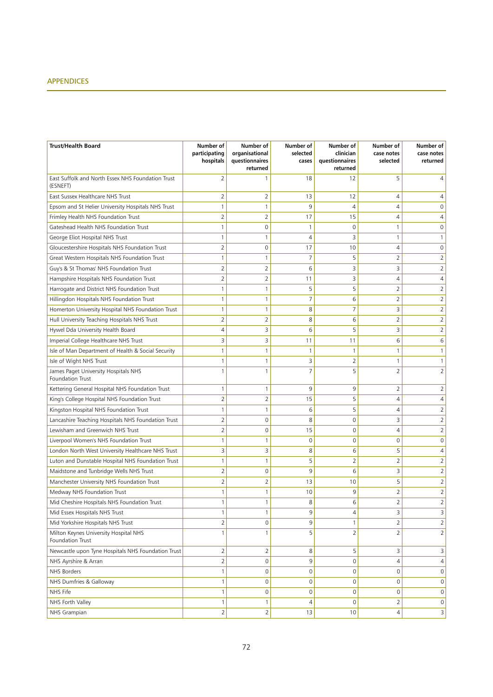## APPENDICES

| <b>Trust/Health Board</b>                                     | Number of<br>participating<br>hospitals | Number of<br>organisational<br>questionnaires<br>returned | Number of<br>selected<br>cases | Number of<br>clinician<br>questionnaires<br>returned | Number of<br>case notes<br>selected | Number of<br>case notes<br>returned |
|---------------------------------------------------------------|-----------------------------------------|-----------------------------------------------------------|--------------------------------|------------------------------------------------------|-------------------------------------|-------------------------------------|
| East Suffolk and North Essex NHS Foundation Trust<br>(ESNEFT) | $\overline{2}$                          | $\mathbf{1}$                                              | 18                             | 12                                                   | 5                                   | 4                                   |
| East Sussex Healthcare NHS Trust                              | $\overline{2}$                          | 2                                                         | 13                             | 12                                                   | 4                                   | 4                                   |
| Epsom and St Helier University Hospitals NHS Trust            | $\mathbf{1}$                            | $\mathbf{1}$                                              | 9                              | 4                                                    | 4                                   | 0                                   |
| Frimley Health NHS Foundation Trust                           | $\overline{2}$                          | $\overline{2}$                                            | 17                             | 15                                                   | 4                                   | 4                                   |
| Gateshead Health NHS Foundation Trust                         | $\mathbf{1}$                            | 0                                                         | 1                              | 0                                                    | $\mathbf{1}$                        | $\mathbf 0$                         |
| George Eliot Hospital NHS Trust                               | $\mathbf{1}$                            | 1                                                         | 4                              | 3                                                    | 1                                   | $\mathbf{1}$                        |
| Gloucestershire Hospitals NHS Foundation Trust                | $\overline{2}$                          | 0                                                         | 17                             | 10                                                   | 4                                   | 0                                   |
| Great Western Hospitals NHS Foundation Trust                  | $\mathbf{1}$                            | $\mathbf{1}$                                              | 7                              | 5                                                    | 2                                   | $\overline{2}$                      |
| Guy's & St Thomas' NHS Foundation Trust                       | $\overline{2}$                          | 2                                                         | 6                              | 3                                                    | 3                                   | $\overline{2}$                      |
| Hampshire Hospitals NHS Foundation Trust                      | $\overline{2}$                          | $\overline{2}$                                            | 11                             | 3                                                    | 4                                   | 4                                   |
| Harrogate and District NHS Foundation Trust                   | $\mathbf{1}$                            | $\mathbf{1}$                                              | 5                              | 5                                                    | $\overline{2}$                      | $\overline{2}$                      |
| Hillingdon Hospitals NHS Foundation Trust                     | $\mathbf{1}$                            | 1                                                         | 7                              | 6                                                    | 2                                   | $\overline{2}$                      |
| Homerton University Hospital NHS Foundation Trust             | $\mathbf{1}$                            | $\mathbf{1}$                                              | 8                              | $\overline{7}$                                       | 3                                   | $\overline{2}$                      |
| Hull University Teaching Hospitals NHS Trust                  | $\overline{2}$                          | $\overline{2}$                                            | 8                              | 6                                                    | 2                                   | $\overline{2}$                      |
| Hywel Dda University Health Board                             | $\overline{4}$                          | 3                                                         | 6                              | 5                                                    | 3                                   | $\overline{2}$                      |
| Imperial College Healthcare NHS Trust                         | 3                                       | 3                                                         | 11                             | 11                                                   | 6                                   | 6                                   |
| Isle of Man Department of Health & Social Security            | 1                                       | 1                                                         | 1                              | 1                                                    | $\mathbf{1}$                        | 1                                   |
| Isle of Wight NHS Trust                                       | 1                                       | $\mathbf{1}$                                              | 3                              | $\overline{2}$                                       | 1                                   | 1                                   |
| James Paget University Hospitals NHS<br>Foundation Trust      | 1                                       | $\mathbf{1}$                                              | $\overline{7}$                 | 5                                                    | 2                                   | $\overline{2}$                      |
| Kettering General Hospital NHS Foundation Trust               | $\mathbf{1}$                            | $\mathbf{1}$                                              | 9                              | 9                                                    | 2                                   | $\overline{2}$                      |
| King's College Hospital NHS Foundation Trust                  | $\overline{2}$                          | $\overline{2}$                                            | 15                             | 5                                                    | 4                                   | 4                                   |
| Kingston Hospital NHS Foundation Trust                        | 1                                       | 1                                                         | 6                              | 5                                                    | 4                                   | $\overline{2}$                      |
| Lancashire Teaching Hospitals NHS Foundation Trust            | $\overline{2}$                          | $\mathsf 0$                                               | 8                              | $\mathbf 0$                                          | 3                                   | $\overline{2}$                      |
| Lewisham and Greenwich NHS Trust                              | $\overline{2}$                          | $\mathsf 0$                                               | 15                             | 0                                                    | 4                                   | $\overline{2}$                      |
| Liverpool Women's NHS Foundation Trust                        | $\mathbf{1}$                            | 1                                                         | 0                              | $\mathbf 0$                                          | $\mathbf 0$                         | $\mathsf{O}\xspace$                 |
| London North West University Healthcare NHS Trust             | 3                                       | 3                                                         | 8                              | 6                                                    | 5                                   | $\overline{4}$                      |
| Luton and Dunstable Hospital NHS Foundation Trust             | 1                                       | $\mathbf{1}$                                              | 5                              | 2                                                    | 2                                   | $\overline{2}$                      |
| Maidstone and Tunbridge Wells NHS Trust                       | $\overline{2}$                          | $\mathsf 0$                                               | 9                              | 6                                                    | 3                                   | $\overline{2}$                      |
| Manchester University NHS Foundation Trust                    | $\overline{2}$                          | $\overline{2}$                                            | 13                             | 10                                                   | 5                                   | $\overline{2}$                      |
| Medway NHS Foundation Trust                                   | 1                                       | $\mathbf{1}$                                              | 10                             | 9                                                    | 2                                   | $\overline{c}$                      |
| Mid Cheshire Hospitals NHS Foundation Trust                   | $\mathbf{1}$                            | $\mathbf{1}$                                              | 8                              | 6                                                    | 2                                   | $\overline{2}$                      |
| Mid Essex Hospitals NHS Trust                                 | 1                                       | 1                                                         | 9                              | $\overline{4}$                                       | $\overline{\mathbf{z}}$             | 3                                   |
| Mid Yorkshire Hospitals NHS Trust                             | $\overline{2}$                          | 0                                                         | 9                              | $\mathbf{1}$                                         | $\overline{2}$                      | $\overline{2}$                      |
| Milton Keynes University Hospital NHS<br>Foundation Trust     | $\mathbf{1}$                            | $\mathbf{1}$                                              | 5                              | $\overline{2}$                                       | 2                                   | $\overline{2}$                      |
| Newcastle upon Tyne Hospitals NHS Foundation Trust            | 2                                       | 2                                                         | 8                              | 5                                                    | 3                                   | 3                                   |
| NHS Ayrshire & Arran                                          | $\overline{2}$                          | $\mathsf 0$                                               | 9                              | $\mathbf 0$                                          | $\overline{4}$                      | 4                                   |
| NHS Borders                                                   | $\mathbf{1}$                            | $\mathbf 0$                                               | 0                              | 0                                                    | $\mathbf 0$                         | 0                                   |
| NHS Dumfries & Galloway                                       | $\mathbf{1}$                            | $\mathbf 0$                                               | $\mathbf 0$                    | $\mathbf 0$                                          | $\mathbf 0$                         | 0                                   |
| NHS Fife                                                      | $\mathbf{1}$                            | 0                                                         | 0                              | 0                                                    | 0                                   | 0                                   |
| NHS Forth Valley                                              | $\mathbf{1}$                            | $\mathbf{1}$                                              | $\overline{4}$                 | 0                                                    | 2                                   | 0                                   |
| NHS Grampian                                                  | 2                                       | $\overline{2}$                                            | 13                             | 10                                                   | 4                                   | 3                                   |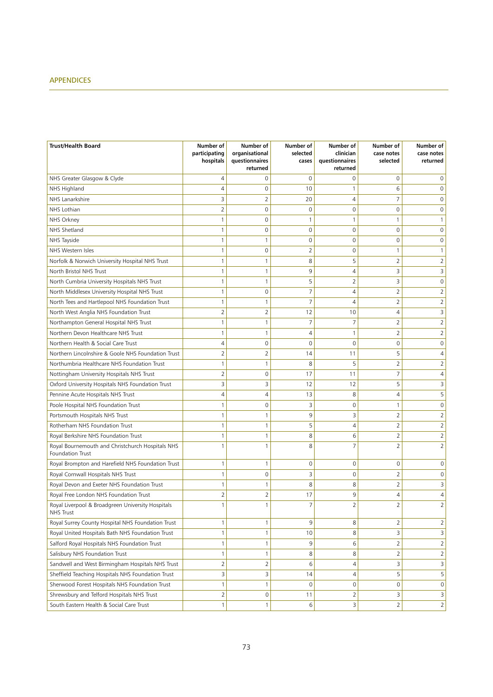## APPENDICES

| <b>Trust/Health Board</b>                                            | Number of<br>participating<br>hospitals | Number of<br>organisational<br>questionnaires<br>returned | Number of<br>selected<br>cases | Number of<br>clinician<br>questionnaires<br>returned | Number of<br>case notes<br>selected | Number of<br>case notes<br>returned |
|----------------------------------------------------------------------|-----------------------------------------|-----------------------------------------------------------|--------------------------------|------------------------------------------------------|-------------------------------------|-------------------------------------|
| NHS Greater Glasgow & Clyde                                          | 4                                       | 0                                                         | 0                              | 0                                                    | $\Omega$                            | 0                                   |
| NHS Highland                                                         | $\overline{4}$                          | 0                                                         | 10                             | 1                                                    | 6                                   | 0                                   |
| NHS Lanarkshire                                                      | 3                                       | 2                                                         | 20                             | 4                                                    | 7                                   | 0                                   |
| NHS Lothian                                                          | $\overline{2}$                          | 0                                                         | 0                              | 0                                                    | $\mathbf 0$                         | 0                                   |
| NHS Orkney                                                           | $\mathbf{1}$                            | 0                                                         | 1                              | 1                                                    | 1                                   | $\mathbf{1}$                        |
| NHS Shetland                                                         | 1                                       | 0                                                         | 0                              | 0                                                    | $\mathbf 0$                         | 0                                   |
| NHS Tayside                                                          | 1                                       | $\mathbf{1}$                                              | 0                              | $\mathbf 0$                                          | $\mathbf 0$                         | 0                                   |
| NHS Western Isles                                                    | 1                                       | 0                                                         | 2                              | 0                                                    | 1                                   | 1                                   |
| Norfolk & Norwich University Hospital NHS Trust                      | $\mathbf{1}$                            | 1                                                         | 8                              | 5                                                    | 2                                   | 2                                   |
| North Bristol NHS Trust                                              | $\mathbf{1}$                            | $\mathbf{1}$                                              | 9                              | 4                                                    | 3                                   | 3                                   |
| North Cumbria University Hospitals NHS Trust                         | 1                                       | 1                                                         | 5                              | $\overline{2}$                                       | 3                                   | 0                                   |
| North Middlesex University Hospital NHS Trust                        | 1                                       | 0                                                         | 7                              | 4                                                    | 2                                   | $\overline{2}$                      |
| North Tees and Hartlepool NHS Foundation Trust                       | 1                                       | 1                                                         | 7                              | 4                                                    | 2                                   | $\overline{2}$                      |
| North West Anglia NHS Foundation Trust                               | $\overline{2}$                          | $\overline{2}$                                            | 12                             | 10                                                   | 4                                   | 3                                   |
| Northampton General Hospital NHS Trust                               | $\mathbf{1}$                            | $\mathbf{1}$                                              | 7                              | $\overline{7}$                                       | 2                                   | $\overline{2}$                      |
| Northern Devon Healthcare NHS Trust                                  | 1                                       | $\mathbf{1}$                                              | 4                              | 1                                                    | $\overline{2}$                      | $\overline{2}$                      |
| Northern Health & Social Care Trust                                  | $\overline{4}$                          | $\mathbf 0$                                               | 0                              | $\mathbf 0$                                          | $\mathbf 0$                         | 0                                   |
| Northern Lincolnshire & Goole NHS Foundation Trust                   | $\overline{2}$                          | $\overline{2}$                                            | 14                             | 11                                                   | 5                                   | 4                                   |
| Northumbria Healthcare NHS Foundation Trust                          | 1                                       | 1                                                         | 8                              | 5                                                    | 2                                   | $\overline{2}$                      |
| Nottingham University Hospitals NHS Trust                            | $\overline{2}$                          | 0                                                         | 17                             | 11                                                   | 7                                   | 4                                   |
| Oxford University Hospitals NHS Foundation Trust                     | 3                                       | 3                                                         | 12                             | 12                                                   | 5                                   | 3                                   |
| Pennine Acute Hospitals NHS Trust                                    | 4                                       | $\overline{4}$                                            | 13                             | 8                                                    | 4                                   | 5                                   |
| Poole Hospital NHS Foundation Trust                                  | 1                                       | $\mathbf 0$                                               | 3                              | 0                                                    | 1                                   | 0                                   |
| Portsmouth Hospitals NHS Trust                                       | 1                                       | 1                                                         | 9                              | 3                                                    | $\overline{2}$                      | $\overline{2}$                      |
| Rotherham NHS Foundation Trust                                       | 1                                       | 1                                                         | 5                              | 4                                                    | 2                                   | $\overline{2}$                      |
| Royal Berkshire NHS Foundation Trust                                 | 1                                       | 1                                                         | 8                              | 6                                                    | 2                                   | $\overline{2}$                      |
| Royal Bournemouth and Christchurch Hospitals NHS<br>Foundation Trust | 1                                       | 1                                                         | 8                              | 7                                                    | 2                                   | $\overline{2}$                      |
| Royal Brompton and Harefield NHS Foundation Trust                    | 1                                       | $\mathbf{1}$                                              | 0                              | $\mathbf 0$                                          | 0                                   | 0                                   |
| Royal Cornwall Hospitals NHS Trust                                   | 1                                       | $\mathbf 0$                                               | 3                              | $\mathbf 0$                                          | 2                                   | 0                                   |
| Royal Devon and Exeter NHS Foundation Trust                          | 1                                       | $\mathbf{1}$                                              | 8                              | 8                                                    | 2                                   | 3                                   |
| Royal Free London NHS Foundation Trust                               | $\overline{2}$                          | 2                                                         | 17                             | 9                                                    | 4                                   | 4                                   |
| Royal Liverpool & Broadgreen University Hospitals<br>NHS Trust       | 1                                       | 1                                                         | $\overline{7}$                 | $\overline{2}$                                       | 2                                   | $\overline{2}$                      |
| Royal Surrey County Hospital NHS Foundation Trust                    | $\mathbf{1}$                            | 1                                                         | 9                              | 8                                                    | $\overline{2}$                      | $\overline{2}$                      |
| Royal United Hospitals Bath NHS Foundation Trust                     | $\mathbf{1}$                            | $\mathbf{1}$                                              | 10                             | 8                                                    | 3                                   | 3                                   |
| Salford Royal Hospitals NHS Foundation Trust                         | $\mathbf{1}$                            | $\mathbf{1}$                                              | 9                              | 6                                                    | $\overline{2}$                      | $\overline{2}$                      |
| Salisbury NHS Foundation Trust                                       | 1                                       | 1                                                         | 8                              | 8                                                    | 2                                   | $\overline{2}$                      |
| Sandwell and West Birmingham Hospitals NHS Trust                     | 2                                       | $\overline{2}$                                            | 6                              | 4                                                    | 3                                   | 3                                   |
| Sheffield Teaching Hospitals NHS Foundation Trust                    | 3                                       | 3                                                         | 14                             | 4                                                    | 5                                   | 5                                   |
| Sherwood Forest Hospitals NHS Foundation Trust                       | $\mathbf{1}$                            | 1                                                         | 0                              | 0                                                    | 0                                   | 0                                   |
| Shrewsbury and Telford Hospitals NHS Trust                           | 2                                       | 0                                                         | 11                             | 2                                                    | 3                                   | 3                                   |
| South Eastern Health & Social Care Trust                             | $\mathbf{1}$                            | $\mathbf{1}$                                              | 6                              | 3                                                    | 2                                   | $\overline{2}$                      |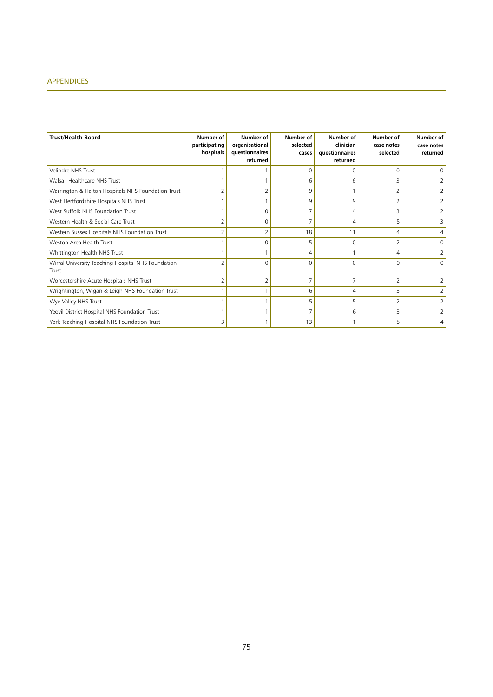## APPENDICES

| <b>Trust/Health Board</b>                                   | Number of<br>participating<br>hospitals | Number of<br>organisational<br>questionnaires<br>returned | Number of<br>selected<br>cases | Number of<br>clinician<br>questionnaires<br>returned | Number of<br>case notes<br>selected | Number of<br>case notes<br>returned |
|-------------------------------------------------------------|-----------------------------------------|-----------------------------------------------------------|--------------------------------|------------------------------------------------------|-------------------------------------|-------------------------------------|
| Velindre NHS Trust                                          |                                         |                                                           | $\Omega$                       | $\Omega$                                             | $\Omega$                            | 0                                   |
| Walsall Healthcare NHS Trust                                |                                         |                                                           | 6                              | 6                                                    | 3                                   | 2                                   |
| Warrington & Halton Hospitals NHS Foundation Trust          | 2                                       |                                                           | 9                              |                                                      |                                     | 2                                   |
| West Hertfordshire Hospitals NHS Trust                      |                                         |                                                           | 9                              | 9                                                    | 2                                   |                                     |
| West Suffolk NHS Foundation Trust                           |                                         | O                                                         |                                | 4                                                    | 3                                   |                                     |
| Western Health & Social Care Trust                          | $\overline{2}$                          | 0                                                         | 7                              | 4                                                    | 5                                   | 3                                   |
| Western Sussex Hospitals NHS Foundation Trust               |                                         |                                                           | 18                             | 11                                                   | 4                                   |                                     |
| Weston Area Health Trust                                    |                                         |                                                           | 5                              | $\Omega$                                             | $\overline{2}$                      | 0                                   |
| Whittington Health NHS Trust                                |                                         |                                                           | 4                              |                                                      | 4                                   | 2                                   |
| Wirral University Teaching Hospital NHS Foundation<br>Trust |                                         | C                                                         | 0                              | 0                                                    | $\Omega$                            | $\Omega$                            |
| Worcestershire Acute Hospitals NHS Trust                    | $\overline{2}$                          | 2                                                         | 7                              | 7                                                    | 2                                   |                                     |
| Wrightington, Wigan & Leigh NHS Foundation Trust            |                                         |                                                           | 6                              | 4                                                    | 3                                   | 2                                   |
| Wye Valley NHS Trust                                        |                                         |                                                           | 5                              | 5                                                    |                                     |                                     |
| Yeovil District Hospital NHS Foundation Trust               |                                         |                                                           |                                | 6                                                    | 3                                   |                                     |
| York Teaching Hospital NHS Foundation Trust                 | 3                                       |                                                           | 13                             |                                                      | 5.                                  | 4                                   |